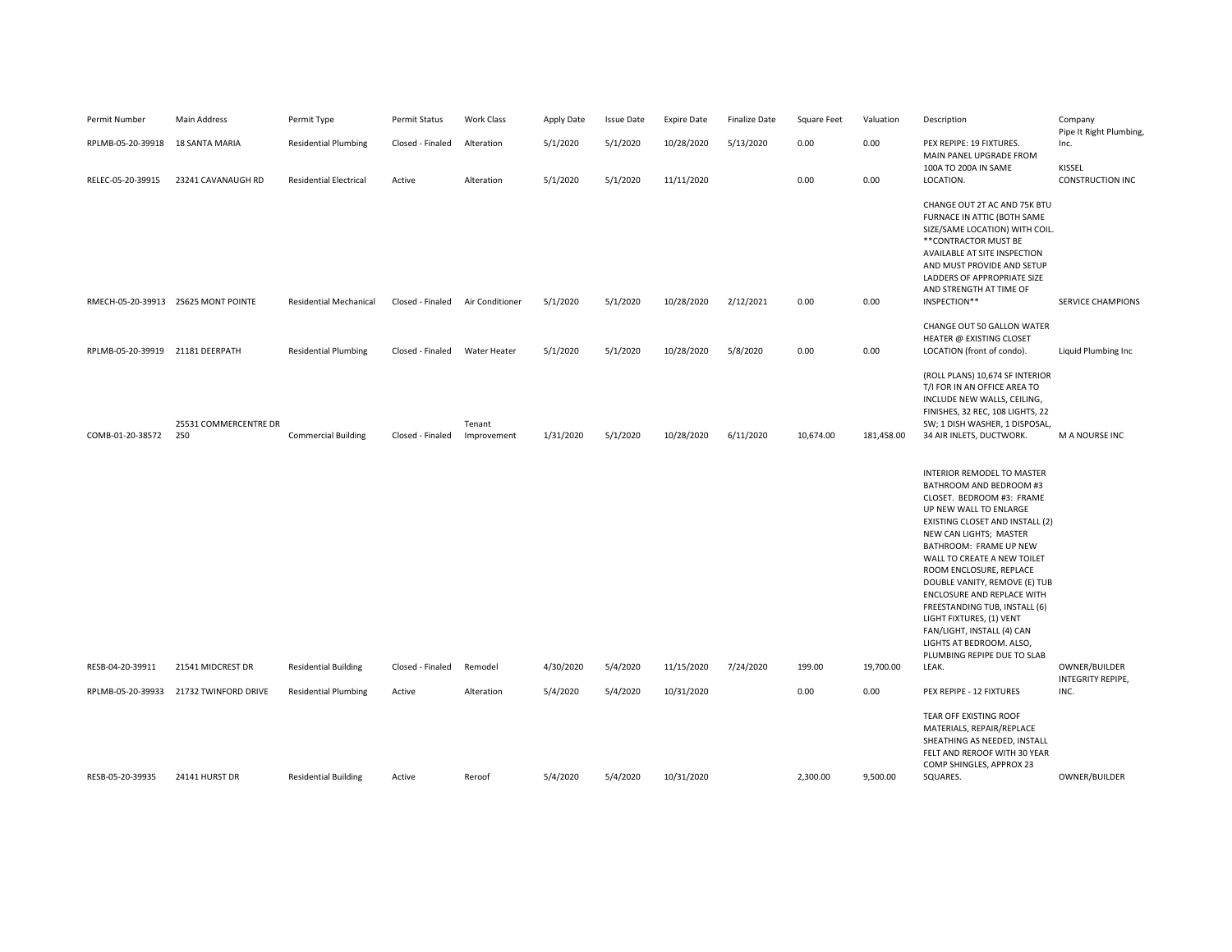| Permit Number     | <b>Main Address</b>                 | Permit Type                   | Permit Status    | Work Class            | Apply Date | <b>Issue Date</b> | <b>Expire Date</b> | <b>Finalize Date</b> | Square Feet | Valuation  | Description                                                                                                                                                                                                                                                                                                                                                                                                                                                                               | Company<br>Pipe It Right Plumbing, |
|-------------------|-------------------------------------|-------------------------------|------------------|-----------------------|------------|-------------------|--------------------|----------------------|-------------|------------|-------------------------------------------------------------------------------------------------------------------------------------------------------------------------------------------------------------------------------------------------------------------------------------------------------------------------------------------------------------------------------------------------------------------------------------------------------------------------------------------|------------------------------------|
| RPLMB-05-20-39918 | <b>18 SANTA MARIA</b>               | <b>Residential Plumbing</b>   | Closed - Finaled | Alteration            | 5/1/2020   | 5/1/2020          | 10/28/2020         | 5/13/2020            | 0.00        | 0.00       | PEX REPIPE: 19 FIXTURES.<br>MAIN PANEL UPGRADE FROM                                                                                                                                                                                                                                                                                                                                                                                                                                       | Inc.                               |
| RELEC-05-20-39915 | 23241 CAVANAUGH RD                  | <b>Residential Electrical</b> | Active           | Alteration            | 5/1/2020   | 5/1/2020          | 11/11/2020         |                      | 0.00        | 0.00       | 100A TO 200A IN SAME<br>LOCATION.                                                                                                                                                                                                                                                                                                                                                                                                                                                         | KISSEL<br><b>CONSTRUCTION INC</b>  |
|                   | RMECH-05-20-39913 25625 MONT POINTE | <b>Residential Mechanical</b> | Closed - Finaled | Air Conditioner       | 5/1/2020   | 5/1/2020          | 10/28/2020         | 2/12/2021            | 0.00        | 0.00       | CHANGE OUT 2T AC AND 75K BTU<br>FURNACE IN ATTIC (BOTH SAME<br>SIZE/SAME LOCATION) WITH COIL.<br>** CONTRACTOR MUST BE<br>AVAILABLE AT SITE INSPECTION<br>AND MUST PROVIDE AND SETUP<br>LADDERS OF APPROPRIATE SIZE<br>AND STRENGTH AT TIME OF<br>INSPECTION**                                                                                                                                                                                                                            | <b>SERVICE CHAMPIONS</b>           |
|                   |                                     |                               |                  |                       |            |                   |                    |                      |             |            | CHANGE OUT 50 GALLON WATER                                                                                                                                                                                                                                                                                                                                                                                                                                                                |                                    |
| RPLMB-05-20-39919 | 21181 DEERPATH                      | <b>Residential Plumbing</b>   | Closed - Finaled | <b>Water Heater</b>   | 5/1/2020   | 5/1/2020          | 10/28/2020         | 5/8/2020             | 0.00        | 0.00       | HEATER @ EXISTING CLOSET<br>LOCATION (front of condo).                                                                                                                                                                                                                                                                                                                                                                                                                                    | Liquid Plumbing Inc                |
| COMB-01-20-38572  | 25531 COMMERCENTRE DR<br>250        | <b>Commercial Building</b>    | Closed - Finaled | Tenant<br>Improvement | 1/31/2020  | 5/1/2020          | 10/28/2020         | 6/11/2020            | 10,674.00   | 181,458.00 | (ROLL PLANS) 10,674 SF INTERIOR<br>T/I FOR IN AN OFFICE AREA TO<br>INCLUDE NEW WALLS, CEILING,<br>FINISHES, 32 REC, 108 LIGHTS, 22<br>SW; 1 DISH WASHER, 1 DISPOSAL,<br>34 AIR INLETS, DUCTWORK.                                                                                                                                                                                                                                                                                          | M A NOURSE INC                     |
|                   |                                     |                               |                  |                       |            |                   |                    |                      |             |            | <b>INTERIOR REMODEL TO MASTER</b><br>BATHROOM AND BEDROOM #3<br>CLOSET. BEDROOM #3: FRAME<br>UP NEW WALL TO ENLARGE<br>EXISTING CLOSET AND INSTALL (2)<br>NEW CAN LIGHTS; MASTER<br>BATHROOM: FRAME UP NEW<br>WALL TO CREATE A NEW TOILET<br>ROOM ENCLOSURE, REPLACE<br>DOUBLE VANITY, REMOVE (E) TUB<br>ENCLOSURE AND REPLACE WITH<br>FREESTANDING TUB, INSTALL (6)<br>LIGHT FIXTURES, (1) VENT<br>FAN/LIGHT, INSTALL (4) CAN<br>LIGHTS AT BEDROOM. ALSO,<br>PLUMBING REPIPE DUE TO SLAB |                                    |
| RESB-04-20-39911  | 21541 MIDCREST DR                   | <b>Residential Building</b>   | Closed - Finaled | Remodel               | 4/30/2020  | 5/4/2020          | 11/15/2020         | 7/24/2020            | 199.00      | 19,700.00  | LEAK.                                                                                                                                                                                                                                                                                                                                                                                                                                                                                     | OWNER/BUILDER<br>INTEGRITY REPIPE, |
| RPLMB-05-20-39933 | 21732 TWINFORD DRIVE                | <b>Residential Plumbing</b>   | Active           | Alteration            | 5/4/2020   | 5/4/2020          | 10/31/2020         |                      | 0.00        | 0.00       | PEX REPIPE - 12 FIXTURES                                                                                                                                                                                                                                                                                                                                                                                                                                                                  | INC.                               |
| RESB-05-20-39935  | 24141 HURST DR                      | <b>Residential Building</b>   | Active           | Reroof                | 5/4/2020   | 5/4/2020          | 10/31/2020         |                      | 2,300.00    | 9,500.00   | TEAR OFF EXISTING ROOF<br>MATERIALS, REPAIR/REPLACE<br>SHEATHING AS NEEDED, INSTALL<br>FELT AND REROOF WITH 30 YEAR<br>COMP SHINGLES, APPROX 23<br>SQUARES.                                                                                                                                                                                                                                                                                                                               | OWNER/BUILDER                      |
|                   |                                     |                               |                  |                       |            |                   |                    |                      |             |            |                                                                                                                                                                                                                                                                                                                                                                                                                                                                                           |                                    |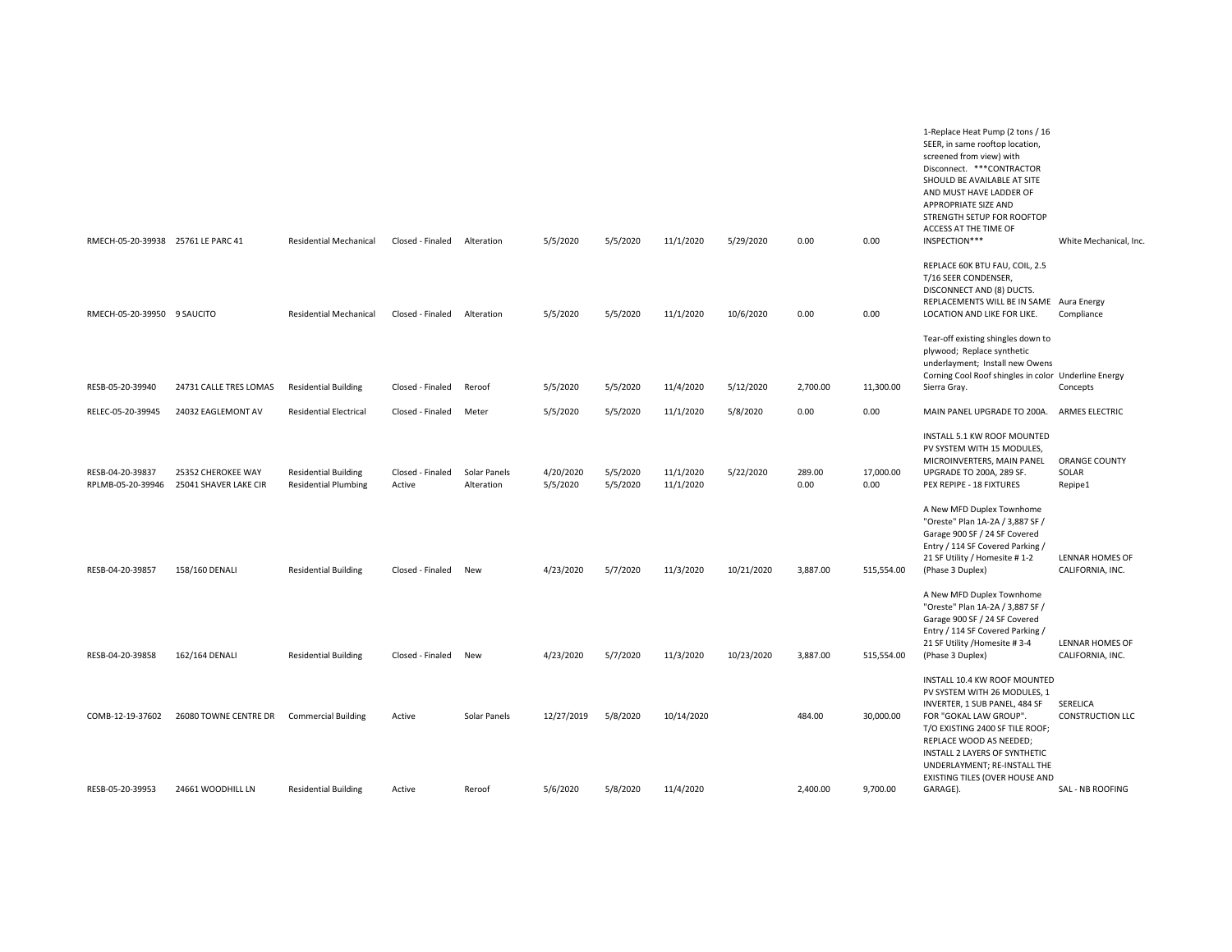| RMECH-05-20-39938 25761 LE PARC 41    |                                             | <b>Residential Mechanical</b>                              | Closed - Finaled           | Alteration                 | 5/5/2020              | 5/5/2020             | 11/1/2020              | 5/29/2020  | 0.00           | 0.00              | 1-Replace Heat Pump (2 tons / 16<br>SEER, in same rooftop location,<br>screened from view) with<br>Disconnect. *** CONTRACTOR<br>SHOULD BE AVAILABLE AT SITE<br>AND MUST HAVE LADDER OF<br>APPROPRIATE SIZE AND<br>STRENGTH SETUP FOR ROOFTOP<br>ACCESS AT THE TIME OF<br>INSPECTION***    | White Mechanical, Inc.              |
|---------------------------------------|---------------------------------------------|------------------------------------------------------------|----------------------------|----------------------------|-----------------------|----------------------|------------------------|------------|----------------|-------------------|--------------------------------------------------------------------------------------------------------------------------------------------------------------------------------------------------------------------------------------------------------------------------------------------|-------------------------------------|
| RMECH-05-20-39950 9 SAUCITO           |                                             | <b>Residential Mechanical</b>                              | Closed - Finaled           | Alteration                 | 5/5/2020              | 5/5/2020             | 11/1/2020              | 10/6/2020  | 0.00           | 0.00              | REPLACE 60K BTU FAU, COIL, 2.5<br>T/16 SEER CONDENSER,<br>DISCONNECT AND (8) DUCTS.<br>REPLACEMENTS WILL BE IN SAME Aura Energy<br>LOCATION AND LIKE FOR LIKE.                                                                                                                             | Compliance                          |
| RESB-05-20-39940                      | 24731 CALLE TRES LOMAS                      | <b>Residential Building</b>                                | Closed - Finaled           | Reroof                     | 5/5/2020              | 5/5/2020             | 11/4/2020              | 5/12/2020  | 2,700.00       | 11,300.00         | Tear-off existing shingles down to<br>plywood; Replace synthetic<br>underlayment; Install new Owens<br>Corning Cool Roof shingles in color Underline Energy<br>Sierra Gray.                                                                                                                | Concepts                            |
| RELEC-05-20-39945                     | 24032 EAGLEMONT AV                          | <b>Residential Electrical</b>                              | Closed - Finaled           | Meter                      | 5/5/2020              | 5/5/2020             | 11/1/2020              | 5/8/2020   | 0.00           | 0.00              | MAIN PANEL UPGRADE TO 200A.                                                                                                                                                                                                                                                                | ARMES ELECTRIC                      |
| RESB-04-20-39837<br>RPLMB-05-20-39946 | 25352 CHEROKEE WAY<br>25041 SHAVER LAKE CIR | <b>Residential Building</b><br><b>Residential Plumbing</b> | Closed - Finaled<br>Active | Solar Panels<br>Alteration | 4/20/2020<br>5/5/2020 | 5/5/2020<br>5/5/2020 | 11/1/2020<br>11/1/2020 | 5/22/2020  | 289.00<br>0.00 | 17,000.00<br>0.00 | INSTALL 5.1 KW ROOF MOUNTED<br>PV SYSTEM WITH 15 MODULES,<br>MICROINVERTERS, MAIN PANEL<br>UPGRADE TO 200A, 289 SF.<br>PEX REPIPE - 18 FIXTURES                                                                                                                                            | ORANGE COUNTY<br>SOLAR<br>Repipe1   |
| RESB-04-20-39857                      | 158/160 DENALI                              | <b>Residential Building</b>                                | Closed - Finaled           | New                        | 4/23/2020             | 5/7/2020             | 11/3/2020              | 10/21/2020 | 3,887.00       | 515,554.00        | A New MFD Duplex Townhome<br>"Oreste" Plan 1A-2A / 3,887 SF /<br>Garage 900 SF / 24 SF Covered<br>Entry / 114 SF Covered Parking /<br>21 SF Utility / Homesite # 1-2<br>(Phase 3 Duplex)<br>A New MFD Duplex Townhome<br>"Oreste" Plan 1A-2A / 3,887 SF /<br>Garage 900 SF / 24 SF Covered | LENNAR HOMES OF<br>CALIFORNIA, INC. |
| RESB-04-20-39858                      | 162/164 DENALI                              | <b>Residential Building</b>                                | Closed - Finaled           | New                        | 4/23/2020             | 5/7/2020             | 11/3/2020              | 10/23/2020 | 3,887.00       | 515,554.00        | Entry / 114 SF Covered Parking /<br>21 SF Utility /Homesite #3-4<br>(Phase 3 Duplex)                                                                                                                                                                                                       | LENNAR HOMES OF<br>CALIFORNIA, INC. |
| COMB-12-19-37602                      | 26080 TOWNE CENTRE DR                       | <b>Commercial Building</b>                                 | Active                     | Solar Panels               | 12/27/2019            | 5/8/2020             | 10/14/2020             |            | 484.00         | 30,000.00         | INSTALL 10.4 KW ROOF MOUNTED<br>PV SYSTEM WITH 26 MODULES, 1<br>INVERTER, 1 SUB PANEL, 484 SF<br>FOR "GOKAL LAW GROUP".<br>T/O EXISTING 2400 SF TILE ROOF;<br>REPLACE WOOD AS NEEDED;<br>INSTALL 2 LAYERS OF SYNTHETIC<br>UNDERLAYMENT; RE-INSTALL THE                                     | SERELICA<br><b>CONSTRUCTION LLC</b> |
| RESB-05-20-39953                      | 24661 WOODHILL LN                           | <b>Residential Building</b>                                | Active                     | Reroof                     | 5/6/2020              | 5/8/2020             | 11/4/2020              |            | 2,400.00       | 9,700.00          | EXISTING TILES (OVER HOUSE AND<br>GARAGE).                                                                                                                                                                                                                                                 | SAL - NB ROOFING                    |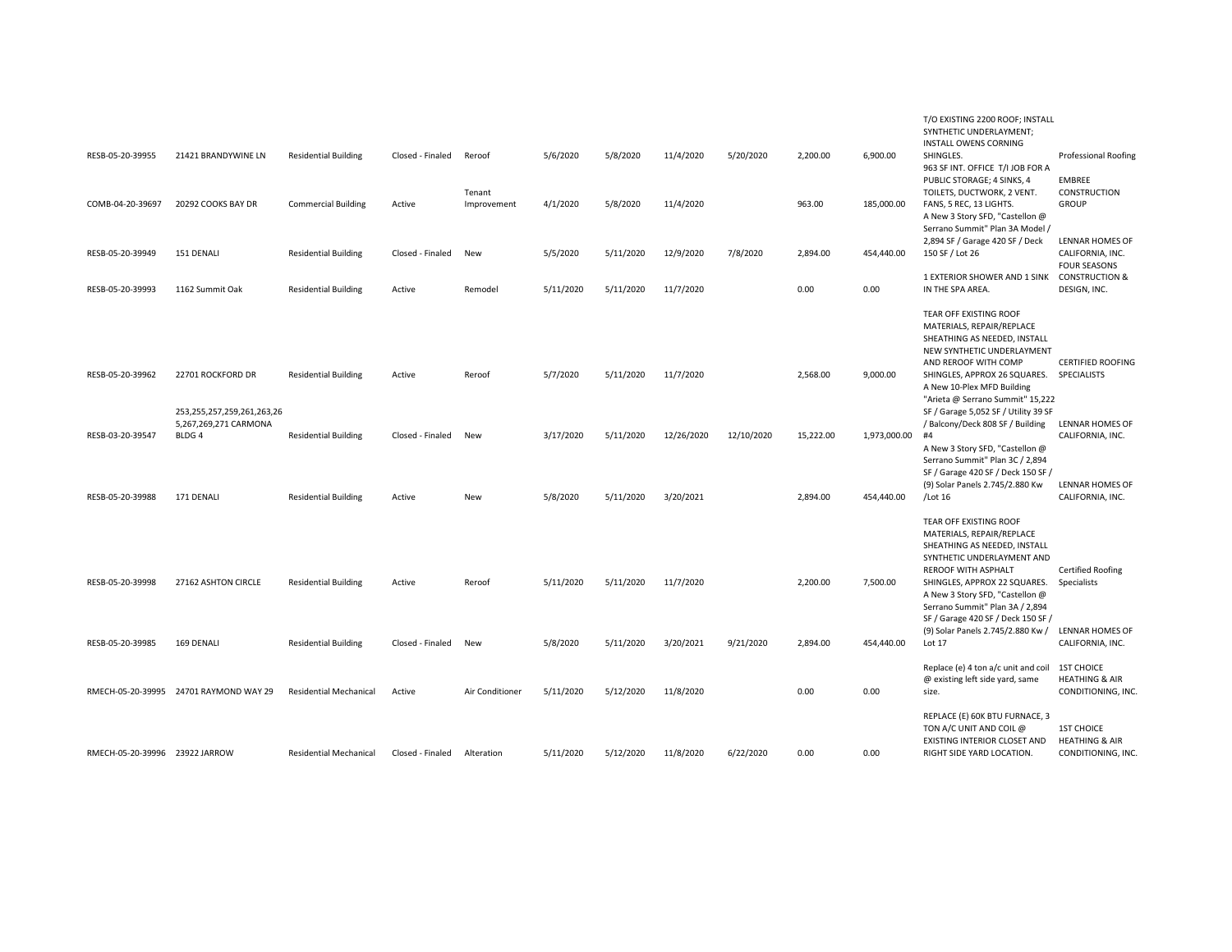| RESB-05-20-39955               | 21421 BRANDYWINE LN                                                      | <b>Residential Building</b>   | Closed - Finaled | Reroof                | 5/6/2020  | 5/8/2020  | 11/4/2020  | 5/20/2020  | 2,200.00  | 6,900.00     | T/O EXISTING 2200 ROOF; INSTALL<br>SYNTHETIC UNDERLAYMENT;<br><b>INSTALL OWENS CORNING</b><br>SHINGLES.<br>963 SF INT. OFFICE T/I JOB FOR A                                                                                                           | <b>Professional Roofing</b>                                          |
|--------------------------------|--------------------------------------------------------------------------|-------------------------------|------------------|-----------------------|-----------|-----------|------------|------------|-----------|--------------|-------------------------------------------------------------------------------------------------------------------------------------------------------------------------------------------------------------------------------------------------------|----------------------------------------------------------------------|
| COMB-04-20-39697               | 20292 COOKS BAY DR                                                       | <b>Commercial Building</b>    | Active           | Tenant<br>Improvement | 4/1/2020  | 5/8/2020  | 11/4/2020  |            | 963.00    | 185,000.00   | PUBLIC STORAGE; 4 SINKS, 4<br>TOILETS, DUCTWORK, 2 VENT.<br>FANS, 5 REC, 13 LIGHTS.<br>A New 3 Story SFD, "Castellon @<br>Serrano Summit" Plan 3A Model /                                                                                             | EMBREE<br>CONSTRUCTION<br><b>GROUP</b>                               |
| RESB-05-20-39949               | 151 DENALI                                                               | <b>Residential Building</b>   | Closed - Finaled | New                   | 5/5/2020  | 5/11/2020 | 12/9/2020  | 7/8/2020   | 2,894.00  | 454,440.00   | 2,894 SF / Garage 420 SF / Deck<br>150 SF / Lot 26                                                                                                                                                                                                    | LENNAR HOMES OF<br>CALIFORNIA, INC.<br><b>FOUR SEASONS</b>           |
| RESB-05-20-39993               | 1162 Summit Oak                                                          | <b>Residential Building</b>   | Active           | Remodel               | 5/11/2020 | 5/11/2020 | 11/7/2020  |            | 0.00      | 0.00         | 1 EXTERIOR SHOWER AND 1 SINK CONSTRUCTION &<br>IN THE SPA AREA.                                                                                                                                                                                       | DESIGN, INC.                                                         |
| RESB-05-20-39962               | 22701 ROCKFORD DR                                                        | <b>Residential Building</b>   | Active           | Reroof                | 5/7/2020  | 5/11/2020 | 11/7/2020  |            | 2,568.00  | 9,000.00     | TEAR OFF EXISTING ROOF<br>MATERIALS, REPAIR/REPLACE<br>SHEATHING AS NEEDED, INSTALL<br>NEW SYNTHETIC UNDERLAYMENT<br>AND REROOF WITH COMP<br>SHINGLES, APPROX 26 SQUARES. SPECIALISTS<br>A New 10-Plex MFD Building                                   | <b>CERTIFIED ROOFING</b>                                             |
| RESB-03-20-39547               | 253,255,257,259,261,263,26<br>5,267,269,271 CARMONA<br>BLDG <sub>4</sub> | <b>Residential Building</b>   | Closed - Finaled | New                   | 3/17/2020 | 5/11/2020 | 12/26/2020 | 12/10/2020 | 15,222.00 | 1,973,000.00 | "Arieta @ Serrano Summit" 15,222<br>SF / Garage 5,052 SF / Utility 39 SF<br>/ Balcony/Deck 808 SF / Building<br>#4<br>A New 3 Story SFD, "Castellon @                                                                                                 | LENNAR HOMES OF<br>CALIFORNIA, INC.                                  |
| RESB-05-20-39988               | 171 DENALI                                                               | <b>Residential Building</b>   | Active           | New                   | 5/8/2020  | 5/11/2020 | 3/20/2021  |            | 2,894.00  | 454,440.00   | Serrano Summit" Plan 3C / 2,894<br>SF / Garage 420 SF / Deck 150 SF /<br>(9) Solar Panels 2.745/2.880 Kw<br>/Lot 16                                                                                                                                   | LENNAR HOMES OF<br>CALIFORNIA, INC.                                  |
| RESB-05-20-39998               | 27162 ASHTON CIRCLE                                                      | <b>Residential Building</b>   | Active           | Reroof                | 5/11/2020 | 5/11/2020 | 11/7/2020  |            | 2,200.00  | 7,500.00     | TEAR OFF EXISTING ROOF<br>MATERIALS, REPAIR/REPLACE<br>SHEATHING AS NEEDED, INSTALL<br>SYNTHETIC UNDERLAYMENT AND<br><b>REROOF WITH ASPHALT</b><br>SHINGLES, APPROX 22 SQUARES.<br>A New 3 Story SFD, "Castellon @<br>Serrano Summit" Plan 3A / 2,894 | <b>Certified Roofing</b><br>Specialists                              |
| RESB-05-20-39985               | 169 DENALI                                                               | <b>Residential Building</b>   | Closed - Finaled | New                   | 5/8/2020  | 5/11/2020 | 3/20/2021  | 9/21/2020  | 2,894.00  | 454,440.00   | SF / Garage 420 SF / Deck 150 SF /<br>(9) Solar Panels 2.745/2.880 Kw /<br>Lot 17                                                                                                                                                                     | LENNAR HOMES OF<br>CALIFORNIA, INC.                                  |
|                                | RMECH-05-20-39995 24701 RAYMOND WAY 29                                   | <b>Residential Mechanical</b> | Active           | Air Conditioner       | 5/11/2020 | 5/12/2020 | 11/8/2020  |            | 0.00      | 0.00         | Replace (e) 4 ton a/c unit and coil<br>@ existing left side yard, same<br>size.                                                                                                                                                                       | <b>1ST CHOICE</b><br><b>HEATHING &amp; AIR</b><br>CONDITIONING, INC. |
| RMECH-05-20-39996 23922 JARROW |                                                                          | <b>Residential Mechanical</b> | Closed - Finaled | Alteration            | 5/11/2020 | 5/12/2020 | 11/8/2020  | 6/22/2020  | 0.00      | 0.00         | REPLACE (E) 60K BTU FURNACE, 3<br>TON A/C UNIT AND COIL @<br>EXISTING INTERIOR CLOSET AND<br>RIGHT SIDE YARD LOCATION.                                                                                                                                | <b>1ST CHOICE</b><br><b>HEATHING &amp; AIR</b><br>CONDITIONING, INC. |
|                                |                                                                          |                               |                  |                       |           |           |            |            |           |              |                                                                                                                                                                                                                                                       |                                                                      |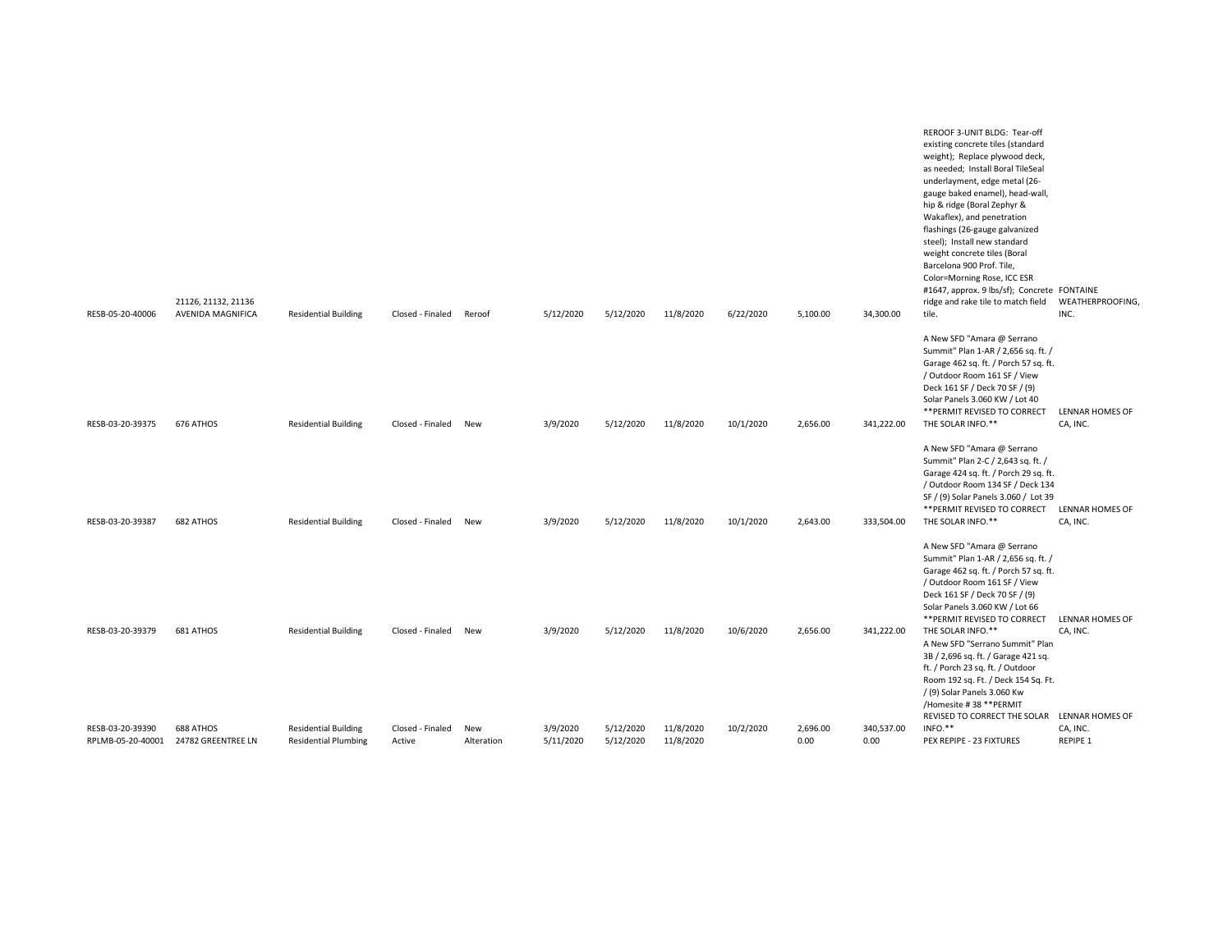| RESB-05-20-40006                      | 21126, 21132, 21136<br>AVENIDA MAGNIFICA | <b>Residential Building</b>                                | Closed - Finaled           | Reroof            | 5/12/2020             | 5/12/2020              | 11/8/2020              | 6/22/2020 | 5,100.00         | 34,300.00          | REROOF 3-UNIT BLDG: Tear-off<br>existing concrete tiles (standard<br>weight); Replace plywood deck,<br>as needed; Install Boral TileSeal<br>underlayment, edge metal (26-<br>gauge baked enamel), head-wall,<br>hip & ridge (Boral Zephyr &<br>Wakaflex), and penetration<br>flashings (26-gauge galvanized<br>steel); Install new standard<br>weight concrete tiles (Boral<br>Barcelona 900 Prof. Tile,<br>Color=Morning Rose, ICC ESR<br>#1647, approx. 9 lbs/sf); Concrete FONTAINE<br>ridge and rake tile to match field<br>tile. | WEATHERPROOFING,<br>INC.    |
|---------------------------------------|------------------------------------------|------------------------------------------------------------|----------------------------|-------------------|-----------------------|------------------------|------------------------|-----------|------------------|--------------------|---------------------------------------------------------------------------------------------------------------------------------------------------------------------------------------------------------------------------------------------------------------------------------------------------------------------------------------------------------------------------------------------------------------------------------------------------------------------------------------------------------------------------------------|-----------------------------|
| RESB-03-20-39375                      | 676 ATHOS                                | <b>Residential Building</b>                                | Closed - Finaled           | New               | 3/9/2020              | 5/12/2020              | 11/8/2020              | 10/1/2020 | 2,656.00         | 341,222.00         | A New SFD "Amara @ Serrano<br>Summit" Plan 1-AR / 2,656 sq. ft. /<br>Garage 462 sq. ft. / Porch 57 sq. ft.<br>/ Outdoor Room 161 SF / View<br>Deck 161 SF / Deck 70 SF / (9)<br>Solar Panels 3.060 KW / Lot 40<br>** PERMIT REVISED TO CORRECT<br>THE SOLAR INFO.**                                                                                                                                                                                                                                                                   | LENNAR HOMES OF<br>CA, INC. |
|                                       | 682 ATHOS                                |                                                            |                            |                   |                       |                        |                        |           | 2,643.00         | 333,504.00         | A New SFD "Amara @ Serrano<br>Summit" Plan 2-C / 2,643 sq. ft. /<br>Garage 424 sq. ft. / Porch 29 sq. ft.<br>/ Outdoor Room 134 SF / Deck 134<br>SF / (9) Solar Panels 3.060 / Lot 39<br>** PERMIT REVISED TO CORRECT<br>THE SOLAR INFO.**                                                                                                                                                                                                                                                                                            | <b>LENNAR HOMES OF</b>      |
| RESB-03-20-39387                      |                                          | <b>Residential Building</b>                                | Closed - Finaled           | New               | 3/9/2020              | 5/12/2020              | 11/8/2020              | 10/1/2020 |                  |                    | A New SFD "Amara @ Serrano<br>Summit" Plan 1-AR / 2,656 sq. ft. /<br>Garage 462 sq. ft. / Porch 57 sq. ft.<br>/ Outdoor Room 161 SF / View<br>Deck 161 SF / Deck 70 SF / (9)<br>Solar Panels 3.060 KW / Lot 66<br>** PERMIT REVISED TO CORRECT                                                                                                                                                                                                                                                                                        | CA, INC.<br>LENNAR HOMES OF |
| RESB-03-20-39379                      | 681 ATHOS                                | <b>Residential Building</b>                                | Closed - Finaled           | New               | 3/9/2020              | 5/12/2020              | 11/8/2020              | 10/6/2020 | 2,656.00         | 341,222.00         | THE SOLAR INFO.**<br>A New SFD "Serrano Summit" Plan<br>3B / 2,696 sq. ft. / Garage 421 sq.<br>ft. / Porch 23 sq. ft. / Outdoor<br>Room 192 sq. Ft. / Deck 154 Sq. Ft.<br>/ (9) Solar Panels 3.060 Kw<br>/Homesite #38 ** PERMIT<br>REVISED TO CORRECT THE SOLAR LENNAR HOMES OF                                                                                                                                                                                                                                                      | CA, INC.                    |
| RESB-03-20-39390<br>RPLMB-05-20-40001 | 688 ATHOS<br>24782 GREENTREE LN          | <b>Residential Building</b><br><b>Residential Plumbing</b> | Closed - Finaled<br>Active | New<br>Alteration | 3/9/2020<br>5/11/2020 | 5/12/2020<br>5/12/2020 | 11/8/2020<br>11/8/2020 | 10/2/2020 | 2,696.00<br>0.00 | 340,537.00<br>0.00 | INFO.**<br>PEX REPIPE - 23 FIXTURES                                                                                                                                                                                                                                                                                                                                                                                                                                                                                                   | CA, INC.<br>REPIPE 1        |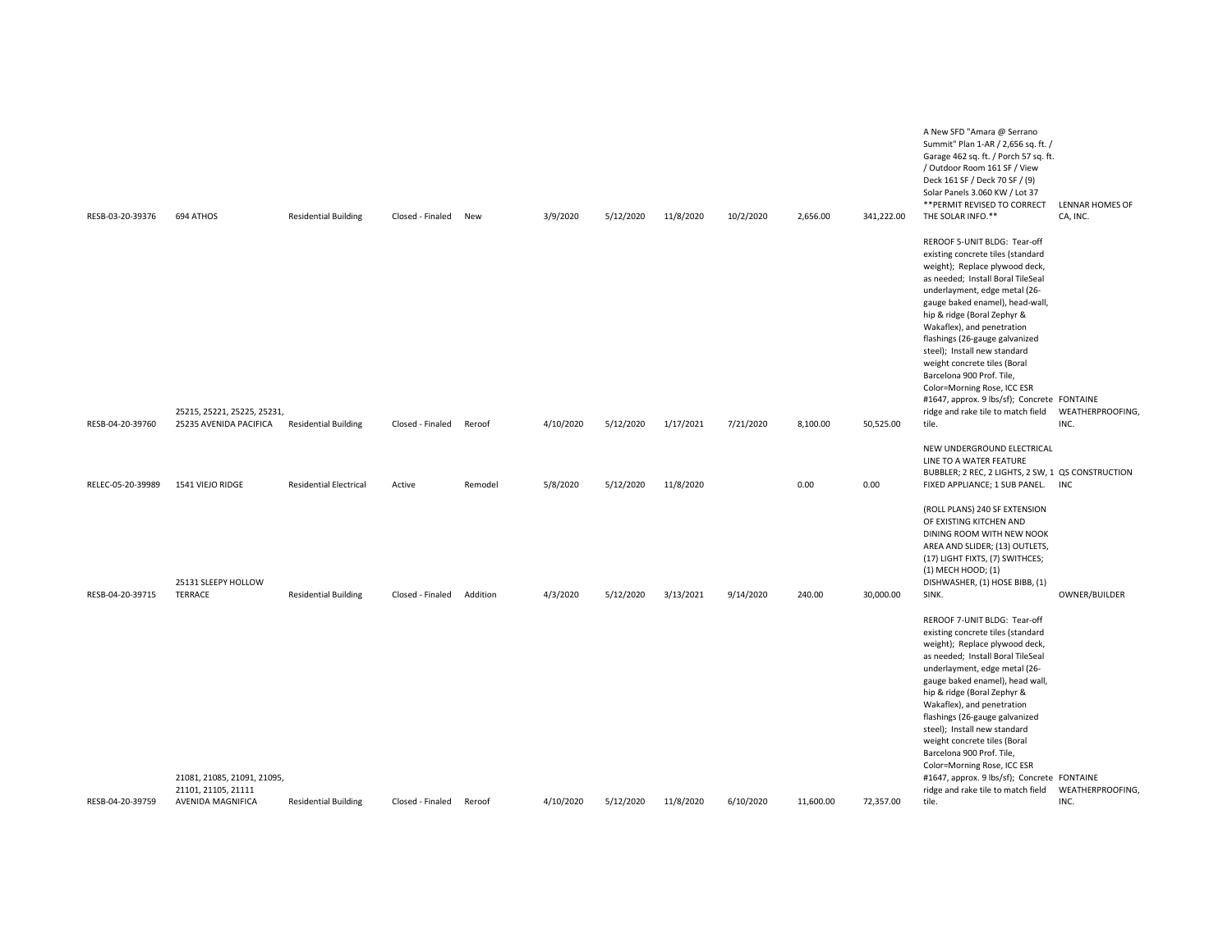| RESB-03-20-39376  | 694 ATHOS                                             | <b>Residential Building</b>   | Closed - Finaled | New      | 3/9/2020  | 5/12/2020 | 11/8/2020 | 10/2/2020 | 2,656.00  | 341,222.00 | A New SFD "Amara @ Serrano<br>Summit" Plan 1-AR / 2,656 sq. ft. /<br>Garage 462 sq. ft. / Porch 57 sq. ft.<br>/ Outdoor Room 161 SF / View<br>Deck 161 SF / Deck 70 SF / (9)<br>Solar Panels 3.060 KW / Lot 37<br>** PERMIT REVISED TO CORRECT<br>THE SOLAR INFO.**                                                                                                                                                                                                                                                                   | LENNAR HOMES OF<br>CA, INC. |
|-------------------|-------------------------------------------------------|-------------------------------|------------------|----------|-----------|-----------|-----------|-----------|-----------|------------|---------------------------------------------------------------------------------------------------------------------------------------------------------------------------------------------------------------------------------------------------------------------------------------------------------------------------------------------------------------------------------------------------------------------------------------------------------------------------------------------------------------------------------------|-----------------------------|
| RESB-04-20-39760  | 25215, 25221, 25225, 25231,<br>25235 AVENIDA PACIFICA | <b>Residential Building</b>   | Closed - Finaled | Reroof   | 4/10/2020 | 5/12/2020 | 1/17/2021 | 7/21/2020 | 8,100.00  | 50,525.00  | REROOF 5-UNIT BLDG: Tear-off<br>existing concrete tiles (standard<br>weight); Replace plywood deck,<br>as needed; Install Boral TileSeal<br>underlayment, edge metal (26-<br>gauge baked enamel), head-wall,<br>hip & ridge (Boral Zephyr &<br>Wakaflex), and penetration<br>flashings (26-gauge galvanized<br>steel); Install new standard<br>weight concrete tiles (Boral<br>Barcelona 900 Prof. Tile,<br>Color=Morning Rose, ICC ESR<br>#1647, approx. 9 lbs/sf); Concrete FONTAINE<br>ridge and rake tile to match field<br>tile. | WEATHERPROOFING,<br>INC.    |
|                   |                                                       |                               |                  |          |           |           |           |           |           |            | NEW UNDERGROUND ELECTRICAL<br>LINE TO A WATER FEATURE                                                                                                                                                                                                                                                                                                                                                                                                                                                                                 |                             |
| RELEC-05-20-39989 | 1541 VIEJO RIDGE                                      | <b>Residential Electrical</b> | Active           | Remodel  | 5/8/2020  | 5/12/2020 | 11/8/2020 |           | 0.00      | 0.00       | BUBBLER; 2 REC, 2 LIGHTS, 2 SW, 1 QS CONSTRUCTION<br>FIXED APPLIANCE; 1 SUB PANEL. INC                                                                                                                                                                                                                                                                                                                                                                                                                                                |                             |
| RESB-04-20-39715  | 25131 SLEEPY HOLLOW<br><b>TERRACE</b>                 | <b>Residential Building</b>   | Closed - Finaled | Addition | 4/3/2020  | 5/12/2020 | 3/13/2021 | 9/14/2020 | 240.00    | 30,000.00  | (ROLL PLANS) 240 SF EXTENSION<br>OF EXISTING KITCHEN AND<br>DINING ROOM WITH NEW NOOK<br>AREA AND SLIDER; (13) OUTLETS,<br>(17) LIGHT FIXTS, (7) SWITHCES;<br>(1) MECH HOOD; (1)<br>DISHWASHER, (1) HOSE BIBB, (1)<br>SINK.                                                                                                                                                                                                                                                                                                           | OWNER/BUILDER               |
|                   | 21081, 21085, 21091, 21095,<br>21101, 21105, 21111    |                               |                  |          |           |           |           |           |           |            | REROOF 7-UNIT BLDG: Tear-off<br>existing concrete tiles (standard<br>weight); Replace plywood deck,<br>as needed; Install Boral TileSeal<br>underlayment, edge metal (26-<br>gauge baked enamel), head wall,<br>hip & ridge (Boral Zephyr &<br>Wakaflex), and penetration<br>flashings (26-gauge galvanized<br>steel); Install new standard<br>weight concrete tiles (Boral<br>Barcelona 900 Prof. Tile,<br>Color=Morning Rose, ICC ESR<br>#1647, approx. 9 lbs/sf); Concrete FONTAINE<br>ridge and rake tile to match field          | WEATHERPROOFING,            |
| RESB-04-20-39759  | AVENIDA MAGNIFICA                                     | <b>Residential Building</b>   | Closed - Finaled | Reroof   | 4/10/2020 | 5/12/2020 | 11/8/2020 | 6/10/2020 | 11,600.00 | 72,357.00  | tile.                                                                                                                                                                                                                                                                                                                                                                                                                                                                                                                                 | INC.                        |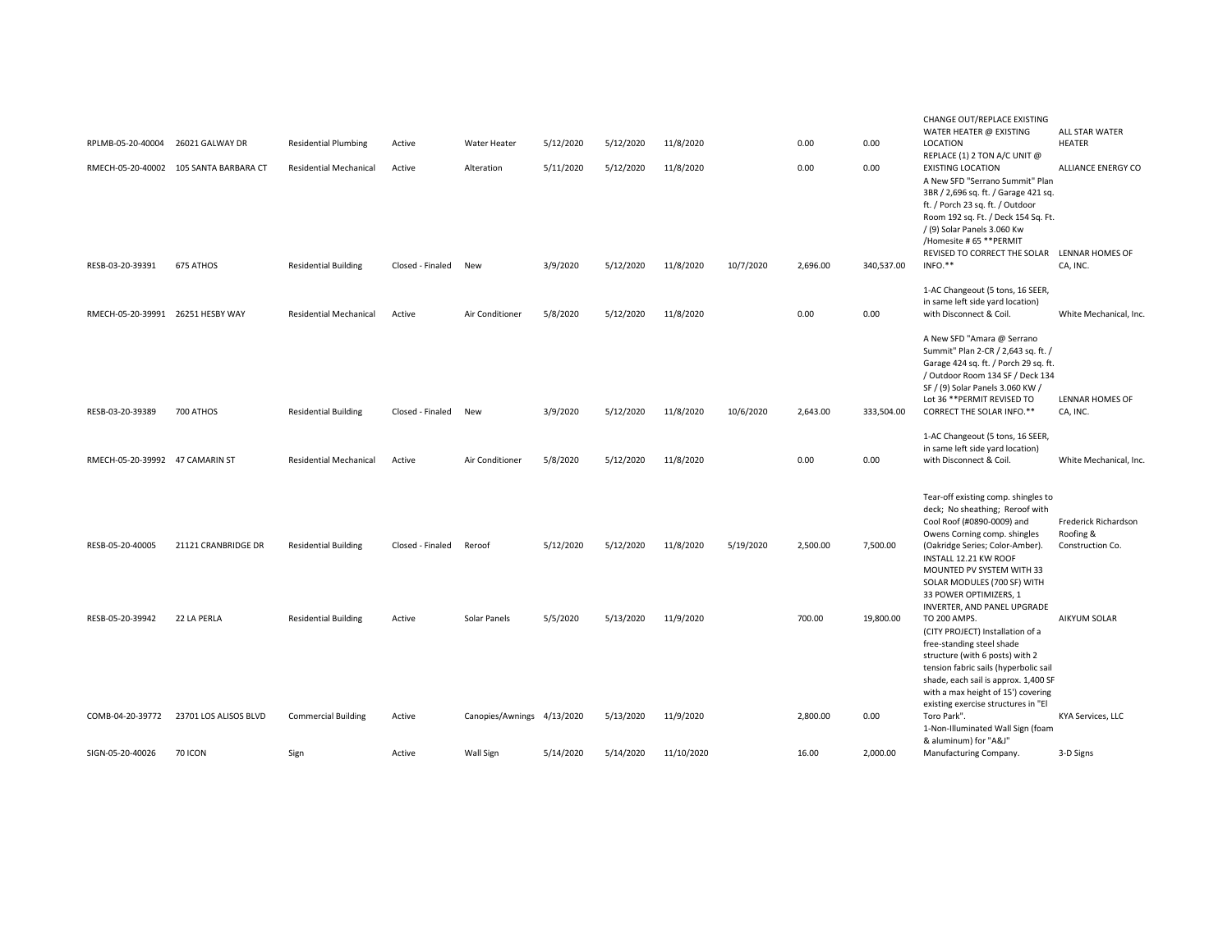|                                   |                                        |                               |                      |                            |           |           |            |           |          |            | CHANGE OUT/REPLACE EXISTING                              |                        |
|-----------------------------------|----------------------------------------|-------------------------------|----------------------|----------------------------|-----------|-----------|------------|-----------|----------|------------|----------------------------------------------------------|------------------------|
|                                   |                                        |                               |                      |                            |           |           |            |           |          |            | WATER HEATER @ EXISTING                                  | ALL STAR WATER         |
| RPLMB-05-20-40004 26021 GALWAY DR |                                        | <b>Residential Plumbing</b>   | Active               | Water Heater               | 5/12/2020 | 5/12/2020 | 11/8/2020  |           | 0.00     | 0.00       | LOCATION                                                 | <b>HEATER</b>          |
|                                   | RMECH-05-20-40002 105 SANTA BARBARA CT | <b>Residential Mechanical</b> | Active               | Alteration                 | 5/11/2020 | 5/12/2020 | 11/8/2020  |           | 0.00     | 0.00       | REPLACE (1) 2 TON A/C UNIT @<br><b>EXISTING LOCATION</b> | ALLIANCE ENERGY CO     |
|                                   |                                        |                               |                      |                            |           |           |            |           |          |            | A New SFD "Serrano Summit" Plan                          |                        |
|                                   |                                        |                               |                      |                            |           |           |            |           |          |            | 3BR / 2,696 sq. ft. / Garage 421 sq.                     |                        |
|                                   |                                        |                               |                      |                            |           |           |            |           |          |            | ft. / Porch 23 sq. ft. / Outdoor                         |                        |
|                                   |                                        |                               |                      |                            |           |           |            |           |          |            | Room 192 sq. Ft. / Deck 154 Sq. Ft.                      |                        |
|                                   |                                        |                               |                      |                            |           |           |            |           |          |            | /(9) Solar Panels 3.060 Kw                               |                        |
|                                   |                                        |                               |                      |                            |           |           |            |           |          |            | /Homesite #65 ** PERMIT                                  |                        |
|                                   |                                        |                               |                      |                            |           |           |            |           |          |            | REVISED TO CORRECT THE SOLAR LENNAR HOMES OF             |                        |
| RESB-03-20-39391                  | 675 ATHOS                              | <b>Residential Building</b>   | Closed - Finaled New |                            | 3/9/2020  | 5/12/2020 | 11/8/2020  | 10/7/2020 | 2,696.00 | 340,537.00 | INFO.**                                                  | CA, INC.               |
|                                   |                                        |                               |                      |                            |           |           |            |           |          |            |                                                          |                        |
|                                   |                                        |                               |                      |                            |           |           |            |           |          |            | 1-AC Changeout (5 tons, 16 SEER,                         |                        |
|                                   |                                        |                               |                      |                            |           |           |            |           |          |            | in same left side yard location)                         |                        |
| RMECH-05-20-39991 26251 HESBY WAY |                                        | <b>Residential Mechanical</b> | Active               | Air Conditioner            | 5/8/2020  | 5/12/2020 | 11/8/2020  |           | 0.00     | 0.00       | with Disconnect & Coil.                                  | White Mechanical, Inc. |
|                                   |                                        |                               |                      |                            |           |           |            |           |          |            | A New SFD "Amara @ Serrano                               |                        |
|                                   |                                        |                               |                      |                            |           |           |            |           |          |            | Summit" Plan 2-CR / 2,643 sq. ft. /                      |                        |
|                                   |                                        |                               |                      |                            |           |           |            |           |          |            | Garage 424 sq. ft. / Porch 29 sq. ft.                    |                        |
|                                   |                                        |                               |                      |                            |           |           |            |           |          |            | / Outdoor Room 134 SF / Deck 134                         |                        |
|                                   |                                        |                               |                      |                            |           |           |            |           |          |            | SF / (9) Solar Panels 3.060 KW /                         |                        |
|                                   |                                        |                               |                      |                            |           |           |            |           |          |            | Lot 36 ** PERMIT REVISED TO                              | LENNAR HOMES OF        |
| RESB-03-20-39389                  | 700 ATHOS                              | <b>Residential Building</b>   | Closed - Finaled     | New                        | 3/9/2020  | 5/12/2020 | 11/8/2020  | 10/6/2020 | 2,643.00 | 333,504.00 | CORRECT THE SOLAR INFO.**                                | CA, INC.               |
|                                   |                                        |                               |                      |                            |           |           |            |           |          |            |                                                          |                        |
|                                   |                                        |                               |                      |                            |           |           |            |           |          |            | 1-AC Changeout (5 tons, 16 SEER,                         |                        |
|                                   |                                        |                               |                      |                            |           |           |            |           |          |            | in same left side yard location)                         |                        |
| RMECH-05-20-39992 47 CAMARIN ST   |                                        | <b>Residential Mechanical</b> | Active               | Air Conditioner            | 5/8/2020  | 5/12/2020 | 11/8/2020  |           | 0.00     | 0.00       | with Disconnect & Coil.                                  | White Mechanical, Inc. |
|                                   |                                        |                               |                      |                            |           |           |            |           |          |            |                                                          |                        |
|                                   |                                        |                               |                      |                            |           |           |            |           |          |            | Tear-off existing comp. shingles to                      |                        |
|                                   |                                        |                               |                      |                            |           |           |            |           |          |            | deck; No sheathing; Reroof with                          |                        |
|                                   |                                        |                               |                      |                            |           |           |            |           |          |            | Cool Roof (#0890-0009) and                               | Frederick Richardson   |
|                                   |                                        |                               |                      |                            |           |           |            |           |          |            | Owens Corning comp. shingles                             | Roofing &              |
| RESB-05-20-40005                  | 21121 CRANBRIDGE DR                    | <b>Residential Building</b>   | Closed - Finaled     | Reroof                     | 5/12/2020 | 5/12/2020 | 11/8/2020  | 5/19/2020 | 2,500.00 | 7,500.00   | (Oakridge Series; Color-Amber).                          | Construction Co.       |
|                                   |                                        |                               |                      |                            |           |           |            |           |          |            | INSTALL 12.21 KW ROOF                                    |                        |
|                                   |                                        |                               |                      |                            |           |           |            |           |          |            | MOUNTED PV SYSTEM WITH 33                                |                        |
|                                   |                                        |                               |                      |                            |           |           |            |           |          |            | SOLAR MODULES (700 SF) WITH                              |                        |
|                                   |                                        |                               |                      |                            |           |           |            |           |          |            | 33 POWER OPTIMIZERS, 1                                   |                        |
| RESB-05-20-39942                  | 22 LA PERLA                            | <b>Residential Building</b>   | Active               | Solar Panels               | 5/5/2020  | 5/13/2020 | 11/9/2020  |           | 700.00   | 19,800.00  | INVERTER, AND PANEL UPGRADE<br>TO 200 AMPS.              | <b>AIKYUM SOLAR</b>    |
|                                   |                                        |                               |                      |                            |           |           |            |           |          |            | (CITY PROJECT) Installation of a                         |                        |
|                                   |                                        |                               |                      |                            |           |           |            |           |          |            | free-standing steel shade                                |                        |
|                                   |                                        |                               |                      |                            |           |           |            |           |          |            | structure (with 6 posts) with 2                          |                        |
|                                   |                                        |                               |                      |                            |           |           |            |           |          |            | tension fabric sails (hyperbolic sail                    |                        |
|                                   |                                        |                               |                      |                            |           |           |            |           |          |            | shade, each sail is approx. 1,400 SF                     |                        |
|                                   |                                        |                               |                      |                            |           |           |            |           |          |            | with a max height of 15') covering                       |                        |
|                                   |                                        |                               |                      |                            |           |           |            |           |          |            | existing exercise structures in "El                      |                        |
| COMB-04-20-39772                  | 23701 LOS ALISOS BLVD                  | <b>Commercial Building</b>    | Active               | Canopies/Awnings 4/13/2020 |           | 5/13/2020 | 11/9/2020  |           | 2,800.00 | 0.00       | Toro Park".                                              | KYA Services, LLC      |
|                                   |                                        |                               |                      |                            |           |           |            |           |          |            | 1-Non-Illuminated Wall Sign (foam                        |                        |
|                                   |                                        |                               |                      |                            |           |           |            |           |          |            |                                                          |                        |
| SIGN-05-20-40026                  | <b>70 ICON</b>                         | Sign                          | Active               | Wall Sign                  | 5/14/2020 | 5/14/2020 | 11/10/2020 |           | 16.00    | 2.000.00   | & aluminum) for "A&J"<br>Manufacturing Company.          | 3-D Signs              |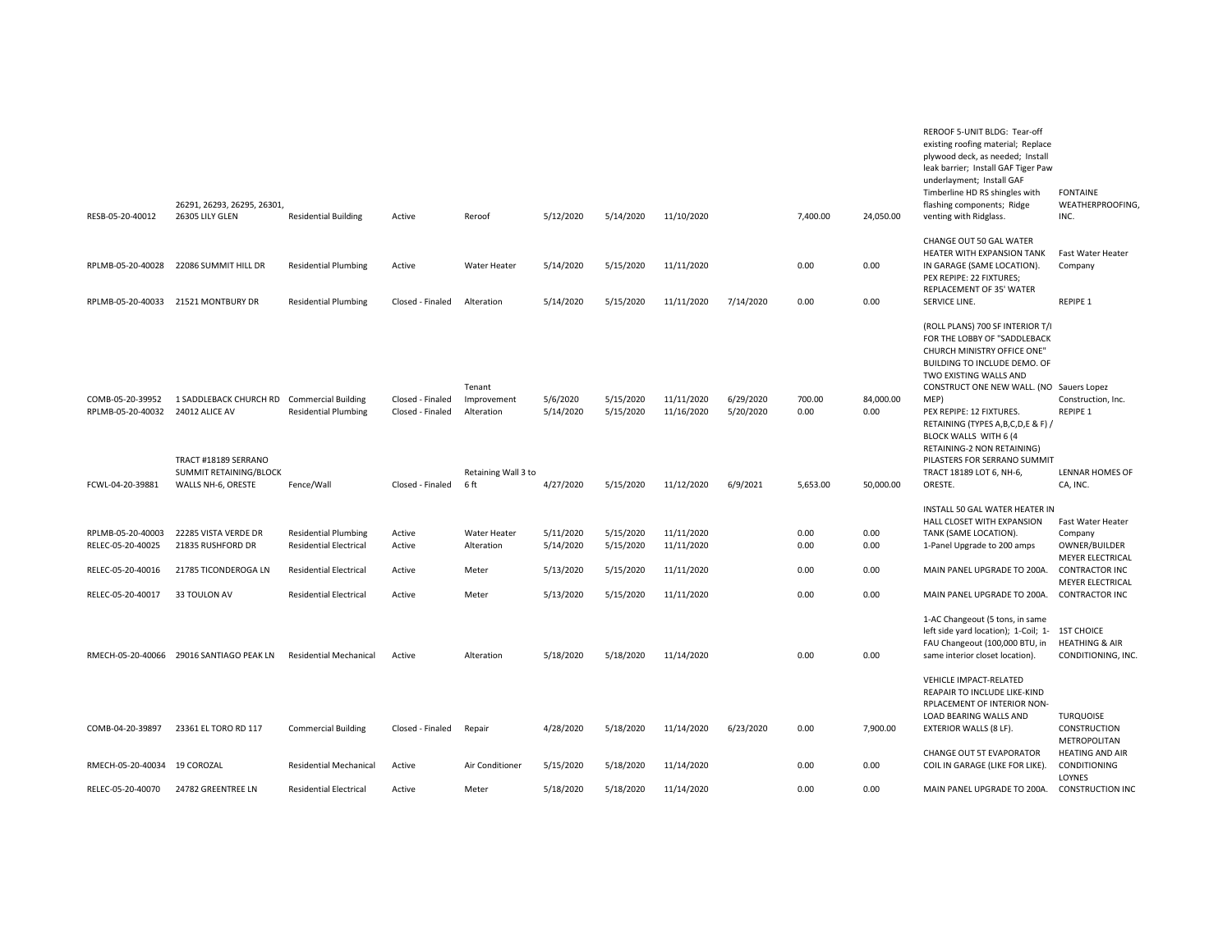|                                        | 26291, 26293, 26295, 26301,                  |                                                              |                                      |                                     |                        |                        |                          |                        |                |                   | plywood deck, as needed; Install<br>leak barrier; Install GAF Tiger Paw<br>underlayment; Install GAF<br>Timberline HD RS shingles with<br>flashing components; Ridge                                                                                                                                                                      | <b>FONTAINE</b><br>WEATHERPROOFING,              |
|----------------------------------------|----------------------------------------------|--------------------------------------------------------------|--------------------------------------|-------------------------------------|------------------------|------------------------|--------------------------|------------------------|----------------|-------------------|-------------------------------------------------------------------------------------------------------------------------------------------------------------------------------------------------------------------------------------------------------------------------------------------------------------------------------------------|--------------------------------------------------|
| RESB-05-20-40012                       | 26305 LILY GLEN                              | <b>Residential Building</b>                                  | Active                               | Reroof                              | 5/12/2020              | 5/14/2020              | 11/10/2020               |                        | 7,400.00       | 24,050.00         | venting with Ridglass.                                                                                                                                                                                                                                                                                                                    | INC.                                             |
| RPLMB-05-20-40028                      | 22086 SUMMIT HILL DR                         | <b>Residential Plumbing</b>                                  | Active                               | Water Heater                        | 5/14/2020              | 5/15/2020              | 11/11/2020               |                        | 0.00           | 0.00              | CHANGE OUT 50 GAL WATER<br>HEATER WITH EXPANSION TANK<br>IN GARAGE (SAME LOCATION).<br>PEX REPIPE: 22 FIXTURES;<br>REPLACEMENT OF 35' WATER                                                                                                                                                                                               | Fast Water Heater<br>Company                     |
| RPLMB-05-20-40033                      | 21521 MONTBURY DR                            | <b>Residential Plumbing</b>                                  | Closed - Finaled                     | Alteration                          | 5/14/2020              | 5/15/2020              | 11/11/2020               | 7/14/2020              | 0.00           | 0.00              | SERVICE LINE.                                                                                                                                                                                                                                                                                                                             | REPIPE 1                                         |
| COMB-05-20-39952<br>RPLMB-05-20-40032  | 1 SADDLEBACK CHURCH RD<br>24012 ALICE AV     | <b>Commercial Building</b><br><b>Residential Plumbing</b>    | Closed - Finaled<br>Closed - Finaled | Tenant<br>Improvement<br>Alteration | 5/6/2020<br>5/14/2020  | 5/15/2020<br>5/15/2020 | 11/11/2020<br>11/16/2020 | 6/29/2020<br>5/20/2020 | 700.00<br>0.00 | 84,000.00<br>0.00 | (ROLL PLANS) 700 SF INTERIOR T/I<br>FOR THE LOBBY OF "SADDLEBACK<br>CHURCH MINISTRY OFFICE ONE"<br>BUILDING TO INCLUDE DEMO. OF<br>TWO EXISTING WALLS AND<br>CONSTRUCT ONE NEW WALL. (NO Sauers Lopez<br>MEP)<br>PEX REPIPE: 12 FIXTURES.<br>RETAINING (TYPES A, B, C, D, E & F) /<br>BLOCK WALLS WITH 6 (4<br>RETAINING-2 NON RETAINING) | Construction, Inc.<br>REPIPE 1                   |
|                                        | TRACT #18189 SERRANO                         |                                                              |                                      |                                     |                        |                        |                          |                        |                |                   | PILASTERS FOR SERRANO SUMMIT                                                                                                                                                                                                                                                                                                              |                                                  |
| FCWL-04-20-39881                       | SUMMIT RETAINING/BLOCK<br>WALLS NH-6, ORESTE | Fence/Wall                                                   | Closed - Finaled                     | Retaining Wall 3 to<br>6 ft         | 4/27/2020              | 5/15/2020              | 11/12/2020               | 6/9/2021               | 5,653.00       | 50,000.00         | TRACT 18189 LOT 6, NH-6,<br>ORESTE.                                                                                                                                                                                                                                                                                                       | LENNAR HOMES OF<br>CA, INC.                      |
| RPLMB-05-20-40003<br>RELEC-05-20-40025 | 22285 VISTA VERDE DR<br>21835 RUSHFORD DR    | <b>Residential Plumbing</b><br><b>Residential Electrical</b> | Active<br>Active                     | Water Heater<br>Alteration          | 5/11/2020<br>5/14/2020 | 5/15/2020<br>5/15/2020 | 11/11/2020<br>11/11/2020 |                        | 0.00<br>0.00   | 0.00<br>0.00      | INSTALL 50 GAL WATER HEATER IN<br>HALL CLOSET WITH EXPANSION<br>TANK (SAME LOCATION).<br>1-Panel Upgrade to 200 amps                                                                                                                                                                                                                      | Fast Water Heater<br>Company<br>OWNER/BUILDER    |
| RELEC-05-20-40016                      | 21785 TICONDEROGA LN                         | <b>Residential Electrical</b>                                | Active                               | Meter                               | 5/13/2020              | 5/15/2020              | 11/11/2020               |                        | 0.00           | 0.00              | MAIN PANEL UPGRADE TO 200A.                                                                                                                                                                                                                                                                                                               | MEYER ELECTRICAL<br><b>CONTRACTOR INC</b>        |
| RELEC-05-20-40017                      | 33 TOULON AV                                 | <b>Residential Electrical</b>                                | Active                               | Meter                               | 5/13/2020              | 5/15/2020              | 11/11/2020               |                        | 0.00           | 0.00              | MAIN PANEL UPGRADE TO 200A.                                                                                                                                                                                                                                                                                                               | <b>MEYER ELECTRICAL</b><br><b>CONTRACTOR INC</b> |
|                                        | RMECH-05-20-40066 29016 SANTIAGO PEAK LN     | <b>Residential Mechanical</b>                                | Active                               | Alteration                          | 5/18/2020              | 5/18/2020              | 11/14/2020               |                        | 0.00           | 0.00              | 1-AC Changeout (5 tons, in same<br>left side yard location); 1-Coil; 1- 1ST CHOICE<br>FAU Changeout (100,000 BTU, in<br>same interior closet location).                                                                                                                                                                                   | <b>HEATHING &amp; AIR</b><br>CONDITIONING, INC.  |
| COMB-04-20-39897                       | 23361 EL TORO RD 117                         | <b>Commercial Building</b>                                   | Closed - Finaled                     | Repair                              | 4/28/2020              | 5/18/2020              | 11/14/2020               | 6/23/2020              | 0.00           | 7,900.00          | <b>VEHICLE IMPACT-RELATED</b><br>REAPAIR TO INCLUDE LIKE-KIND<br>RPLACEMENT OF INTERIOR NON-<br>LOAD BEARING WALLS AND<br>EXTERIOR WALLS (8 LF).                                                                                                                                                                                          | <b>TURQUOISE</b><br>CONSTRUCTION<br>METROPOLITAN |
| RMECH-05-20-40034                      | 19 COROZAL                                   | <b>Residential Mechanical</b>                                | Active                               | Air Conditioner                     | 5/15/2020              | 5/18/2020              | 11/14/2020               |                        | 0.00           | 0.00              | CHANGE OUT 5T EVAPORATOR<br>COIL IN GARAGE (LIKE FOR LIKE).                                                                                                                                                                                                                                                                               | <b>HEATING AND AIR</b><br>CONDITIONING<br>LOYNES |
| RELEC-05-20-40070                      | 24782 GREENTREE LN                           | <b>Residential Electrical</b>                                | Active                               | Meter                               | 5/18/2020              | 5/18/2020              | 11/14/2020               |                        | 0.00           | 0.00              | MAIN PANEL UPGRADE TO 200A.                                                                                                                                                                                                                                                                                                               | <b>CONSTRUCTION INC</b>                          |
|                                        |                                              |                                                              |                                      |                                     |                        |                        |                          |                        |                |                   |                                                                                                                                                                                                                                                                                                                                           |                                                  |

REROOF 5-UNIT BLDG: Tear-off existing roofing material; Replace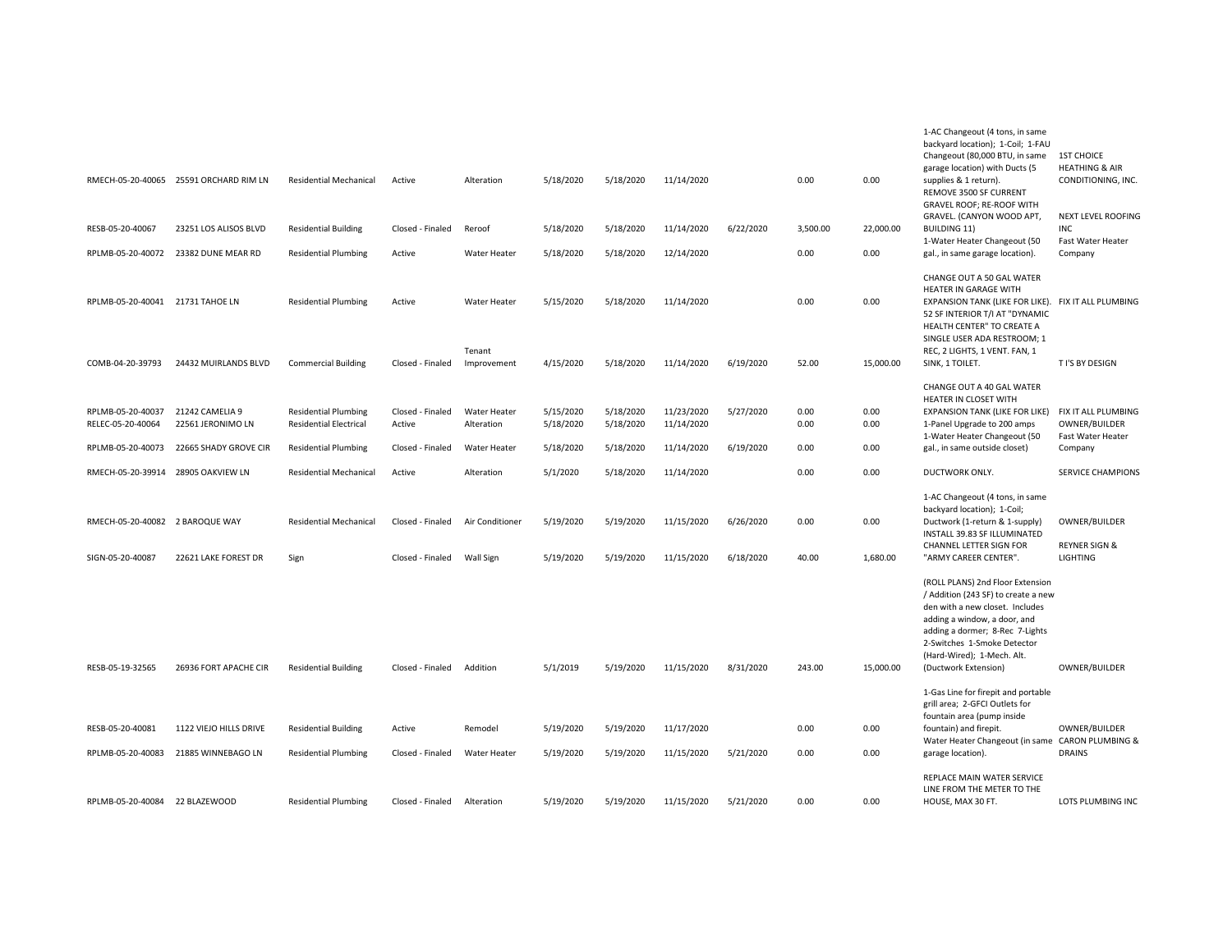|                                                     | RMECH-05-20-40065 25591 ORCHARD RIM LN | <b>Residential Mechanical</b>                                | Active                               | Alteration                          | 5/18/2020              | 5/18/2020              | 11/14/2020               |                        | 0.00          | 0.00             | 1-AC Changeout (4 tons, in same<br>backyard location); 1-Coil; 1-FAU<br>Changeout (80,000 BTU, in same<br>garage location) with Ducts (5<br>supplies & 1 return).<br>REMOVE 3500 SF CURRENT                                                                        | <b>1ST CHOICE</b><br><b>HEATHING &amp; AIR</b><br>CONDITIONING, INC. |
|-----------------------------------------------------|----------------------------------------|--------------------------------------------------------------|--------------------------------------|-------------------------------------|------------------------|------------------------|--------------------------|------------------------|---------------|------------------|--------------------------------------------------------------------------------------------------------------------------------------------------------------------------------------------------------------------------------------------------------------------|----------------------------------------------------------------------|
| RESB-05-20-40067                                    | 23251 LOS ALISOS BLVD                  | <b>Residential Building</b>                                  | Closed - Finaled                     | Reroof                              | 5/18/2020              | 5/18/2020              | 11/14/2020               | 6/22/2020              | 3,500.00      | 22,000.00        | GRAVEL ROOF; RE-ROOF WITH<br>GRAVEL. (CANYON WOOD APT,<br><b>BUILDING 11)</b><br>1-Water Heater Changeout (50                                                                                                                                                      | NEXT LEVEL ROOFING<br><b>INC</b><br>Fast Water Heater                |
| RPLMB-05-20-40072                                   | 23382 DUNE MEAR RD                     | <b>Residential Plumbing</b>                                  | Active                               | Water Heater                        | 5/18/2020              | 5/18/2020              | 12/14/2020               |                        | 0.00          | 0.00             | gal., in same garage location).                                                                                                                                                                                                                                    | Company                                                              |
| RPLMB-05-20-40041 21731 TAHOE LN                    |                                        | <b>Residential Plumbing</b>                                  | Active                               | <b>Water Heater</b>                 | 5/15/2020              | 5/18/2020              | 11/14/2020               |                        | 0.00          | 0.00             | CHANGE OUT A 50 GAL WATER<br>HEATER IN GARAGE WITH<br>EXPANSION TANK (LIKE FOR LIKE). FIX IT ALL PLUMBING<br>52 SF INTERIOR T/I AT "DYNAMIC<br>HEALTH CENTER" TO CREATE A<br>SINGLE USER ADA RESTROOM; 1                                                           |                                                                      |
| COMB-04-20-39793                                    | 24432 MUIRLANDS BLVD                   | <b>Commercial Building</b>                                   | Closed - Finaled                     | Tenant<br>Improvement               | 4/15/2020              | 5/18/2020              | 11/14/2020               | 6/19/2020              | 52.00         | 15,000.00        | REC, 2 LIGHTS, 1 VENT. FAN, 1<br>SINK, 1 TOILET.                                                                                                                                                                                                                   | T I'S BY DESIGN                                                      |
| RPLMB-05-20-40037<br>RELEC-05-20-40064              | 21242 CAMELIA 9<br>22561 JERONIMO LN   | <b>Residential Plumbing</b><br><b>Residential Electrical</b> | Closed - Finaled<br>Active           | Water Heater<br>Alteration          | 5/15/2020<br>5/18/2020 | 5/18/2020<br>5/18/2020 | 11/23/2020<br>11/14/2020 | 5/27/2020              | 0.00<br>0.00  | 0.00<br>0.00     | CHANGE OUT A 40 GAL WATER<br>HEATER IN CLOSET WITH<br><b>EXPANSION TANK (LIKE FOR LIKE)</b><br>1-Panel Upgrade to 200 amps                                                                                                                                         | FIX IT ALL PLUMBING<br>OWNER/BUILDER                                 |
| RPLMB-05-20-40073                                   | 22665 SHADY GROVE CIR                  | <b>Residential Plumbing</b>                                  | Closed - Finaled                     | Water Heater                        | 5/18/2020              | 5/18/2020              | 11/14/2020               | 6/19/2020              | 0.00          | 0.00             | 1-Water Heater Changeout (50<br>gal., in same outside closet)                                                                                                                                                                                                      | Fast Water Heater<br>Company                                         |
| RMECH-05-20-39914                                   | 28905 OAKVIEW LN                       | <b>Residential Mechanical</b>                                | Active                               | Alteration                          | 5/1/2020               | 5/18/2020              | 11/14/2020               |                        | 0.00          | 0.00             | DUCTWORK ONLY.                                                                                                                                                                                                                                                     | <b>SERVICE CHAMPIONS</b>                                             |
| RMECH-05-20-40082 2 BAROQUE WAY<br>SIGN-05-20-40087 | 22621 LAKE FOREST DR                   | Residential Mechanical<br>Sign                               | Closed - Finaled<br>Closed - Finaled | Air Conditioner<br><b>Wall Sign</b> | 5/19/2020<br>5/19/2020 | 5/19/2020<br>5/19/2020 | 11/15/2020<br>11/15/2020 | 6/26/2020<br>6/18/2020 | 0.00<br>40.00 | 0.00<br>1,680.00 | 1-AC Changeout (4 tons, in same<br>backyard location); 1-Coil;<br>Ductwork (1-return & 1-supply)<br>INSTALL 39.83 SF ILLUMINATED<br>CHANNEL LETTER SIGN FOR<br>"ARMY CAREER CENTER".                                                                               | OWNER/BUILDER<br><b>REYNER SIGN &amp;</b><br><b>LIGHTING</b>         |
| RESB-05-19-32565                                    | 26936 FORT APACHE CIR                  | <b>Residential Building</b>                                  | Closed - Finaled                     | Addition                            | 5/1/2019               | 5/19/2020              | 11/15/2020               | 8/31/2020              | 243.00        | 15,000.00        | (ROLL PLANS) 2nd Floor Extension<br>/ Addition (243 SF) to create a new<br>den with a new closet. Includes<br>adding a window, a door, and<br>adding a dormer; 8-Rec 7-Lights<br>2-Switches 1-Smoke Detector<br>(Hard-Wired); 1-Mech. Alt.<br>(Ductwork Extension) | OWNER/BUILDER                                                        |
|                                                     |                                        |                                                              |                                      |                                     |                        |                        |                          |                        |               |                  | 1-Gas Line for firepit and portable<br>grill area; 2-GFCI Outlets for                                                                                                                                                                                              |                                                                      |
| RESB-05-20-40081                                    | 1122 VIEJO HILLS DRIVE                 | <b>Residential Building</b>                                  | Active                               | Remodel                             | 5/19/2020              | 5/19/2020              | 11/17/2020               |                        | 0.00          | 0.00             | fountain area (pump inside<br>fountain) and firepit.                                                                                                                                                                                                               | OWNER/BUILDER                                                        |
| RPLMB-05-20-40083                                   | 21885 WINNEBAGO LN                     | <b>Residential Plumbing</b>                                  | Closed - Finaled                     | Water Heater                        | 5/19/2020              | 5/19/2020              | 11/15/2020               | 5/21/2020              | 0.00          | 0.00             | Water Heater Changeout (in same CARON PLUMBING &<br>garage location).                                                                                                                                                                                              | <b>DRAINS</b>                                                        |
| RPLMB-05-20-40084 22 BLAZEWOOD                      |                                        | <b>Residential Plumbing</b>                                  | Closed - Finaled                     | Alteration                          | 5/19/2020              | 5/19/2020              | 11/15/2020               | 5/21/2020              | 0.00          | 0.00             | REPLACE MAIN WATER SERVICE<br>LINE FROM THE METER TO THE<br>HOUSE, MAX 30 FT.                                                                                                                                                                                      | LOTS PLUMBING INC                                                    |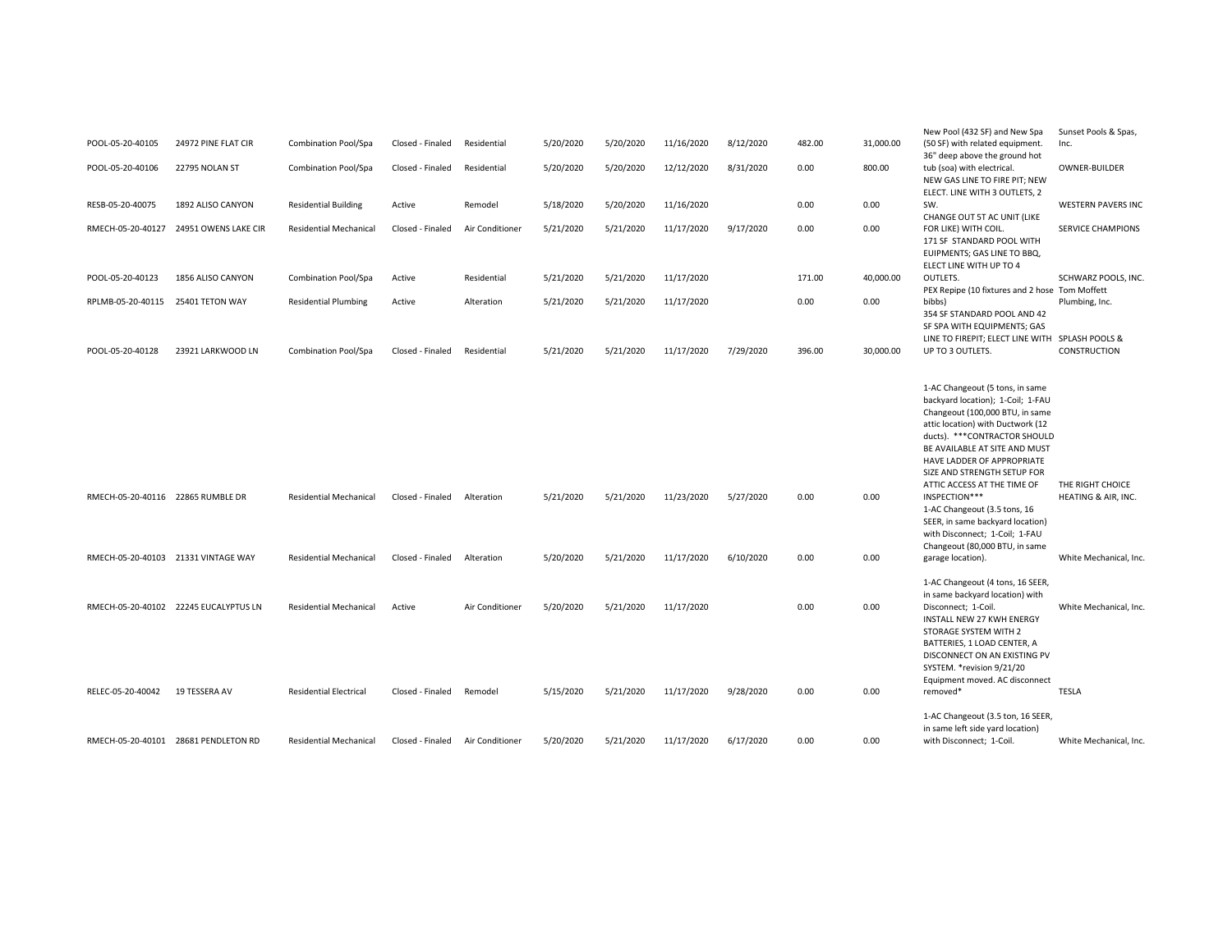|                                   |                                        |                               |                  |                 |           |           |            |           |        |           | New Pool (432 SF) and New Spa                                    | Sunset Pools & Spas,                    |
|-----------------------------------|----------------------------------------|-------------------------------|------------------|-----------------|-----------|-----------|------------|-----------|--------|-----------|------------------------------------------------------------------|-----------------------------------------|
| POOL-05-20-40105                  | 24972 PINE FLAT CIR                    | Combination Pool/Spa          | Closed - Finaled | Residential     | 5/20/2020 | 5/20/2020 | 11/16/2020 | 8/12/2020 | 482.00 | 31,000.00 | (50 SF) with related equipment.                                  | Inc.                                    |
|                                   |                                        |                               |                  |                 |           |           |            |           |        |           | 36" deep above the ground hot                                    |                                         |
| POOL-05-20-40106                  | 22795 NOLAN ST                         | Combination Pool/Spa          | Closed - Finaled | Residential     | 5/20/2020 | 5/20/2020 | 12/12/2020 | 8/31/2020 | 0.00   | 800.00    | tub (soa) with electrical.                                       | OWNER-BUILDER                           |
|                                   |                                        |                               |                  |                 |           |           |            |           |        |           | NEW GAS LINE TO FIRE PIT; NEW                                    |                                         |
|                                   |                                        |                               |                  |                 |           |           |            |           |        |           | ELECT. LINE WITH 3 OUTLETS, 2                                    |                                         |
| RESB-05-20-40075                  | 1892 ALISO CANYON                      | <b>Residential Building</b>   | Active           | Remodel         | 5/18/2020 | 5/20/2020 | 11/16/2020 |           | 0.00   | 0.00      | SW.                                                              | <b>WESTERN PAVERS INC</b>               |
|                                   | RMECH-05-20-40127 24951 OWENS LAKE CIR | <b>Residential Mechanical</b> | Closed - Finaled | Air Conditioner | 5/21/2020 | 5/21/2020 | 11/17/2020 | 9/17/2020 | 0.00   | 0.00      | CHANGE OUT 5T AC UNIT (LIKE<br>FOR LIKE) WITH COIL.              | <b>SERVICE CHAMPIONS</b>                |
|                                   |                                        |                               |                  |                 |           |           |            |           |        |           | 171 SF STANDARD POOL WITH                                        |                                         |
|                                   |                                        |                               |                  |                 |           |           |            |           |        |           | EUIPMENTS; GAS LINE TO BBQ,                                      |                                         |
|                                   |                                        |                               |                  |                 |           |           |            |           |        |           | ELECT LINE WITH UP TO 4                                          |                                         |
| POOL-05-20-40123                  | 1856 ALISO CANYON                      | Combination Pool/Spa          | Active           | Residential     | 5/21/2020 | 5/21/2020 | 11/17/2020 |           | 171.00 | 40,000.00 | OUTLETS.                                                         | SCHWARZ POOLS, INC.                     |
|                                   |                                        |                               |                  |                 |           |           |            |           |        |           | PEX Repipe (10 fixtures and 2 hose Tom Moffett                   |                                         |
| RPLMB-05-20-40115                 | 25401 TETON WAY                        | <b>Residential Plumbing</b>   | Active           | Alteration      | 5/21/2020 | 5/21/2020 | 11/17/2020 |           | 0.00   | 0.00      | bibbs)                                                           | Plumbing, Inc.                          |
|                                   |                                        |                               |                  |                 |           |           |            |           |        |           | 354 SF STANDARD POOL AND 42                                      |                                         |
|                                   |                                        |                               |                  |                 |           |           |            |           |        |           | SF SPA WITH EQUIPMENTS; GAS                                      |                                         |
|                                   |                                        |                               |                  |                 |           |           |            |           |        |           | LINE TO FIREPIT; ELECT LINE WITH                                 | SPLASH POOLS &                          |
| POOL-05-20-40128                  | 23921 LARKWOOD LN                      | <b>Combination Pool/Spa</b>   | Closed - Finaled | Residential     | 5/21/2020 | 5/21/2020 | 11/17/2020 | 7/29/2020 | 396.00 | 30,000.00 | UP TO 3 OUTLETS.                                                 | CONSTRUCTION                            |
|                                   |                                        |                               |                  |                 |           |           |            |           |        |           |                                                                  |                                         |
|                                   |                                        |                               |                  |                 |           |           |            |           |        |           |                                                                  |                                         |
|                                   |                                        |                               |                  |                 |           |           |            |           |        |           | 1-AC Changeout (5 tons, in same                                  |                                         |
|                                   |                                        |                               |                  |                 |           |           |            |           |        |           | backyard location); 1-Coil; 1-FAU                                |                                         |
|                                   |                                        |                               |                  |                 |           |           |            |           |        |           | Changeout (100,000 BTU, in same                                  |                                         |
|                                   |                                        |                               |                  |                 |           |           |            |           |        |           | attic location) with Ductwork (12                                |                                         |
|                                   |                                        |                               |                  |                 |           |           |            |           |        |           | ducts). *** CONTRACTOR SHOULD                                    |                                         |
|                                   |                                        |                               |                  |                 |           |           |            |           |        |           | BE AVAILABLE AT SITE AND MUST                                    |                                         |
|                                   |                                        |                               |                  |                 |           |           |            |           |        |           | HAVE LADDER OF APPROPRIATE                                       |                                         |
|                                   |                                        |                               |                  |                 |           |           |            |           |        |           | SIZE AND STRENGTH SETUP FOR                                      |                                         |
| RMECH-05-20-40116 22865 RUMBLE DR |                                        | <b>Residential Mechanical</b> | Closed - Finaled | Alteration      | 5/21/2020 | 5/21/2020 | 11/23/2020 | 5/27/2020 | 0.00   | 0.00      | ATTIC ACCESS AT THE TIME OF<br>INSPECTION***                     | THE RIGHT CHOICE<br>HEATING & AIR, INC. |
|                                   |                                        |                               |                  |                 |           |           |            |           |        |           |                                                                  |                                         |
|                                   |                                        |                               |                  |                 |           |           |            |           |        |           | 1-AC Changeout (3.5 tons, 16<br>SEER, in same backyard location) |                                         |
|                                   |                                        |                               |                  |                 |           |           |            |           |        |           | with Disconnect; 1-Coil; 1-FAU                                   |                                         |
|                                   |                                        |                               |                  |                 |           |           |            |           |        |           | Changeout (80,000 BTU, in same                                   |                                         |
|                                   | RMECH-05-20-40103 21331 VINTAGE WAY    | <b>Residential Mechanical</b> | Closed - Finaled | Alteration      | 5/20/2020 | 5/21/2020 | 11/17/2020 | 6/10/2020 | 0.00   | 0.00      | garage location).                                                | White Mechanical, Inc.                  |
|                                   |                                        |                               |                  |                 |           |           |            |           |        |           |                                                                  |                                         |
|                                   |                                        |                               |                  |                 |           |           |            |           |        |           | 1-AC Changeout (4 tons, 16 SEER,                                 |                                         |
|                                   |                                        |                               |                  |                 |           |           |            |           |        |           | in same backyard location) with                                  |                                         |
|                                   | RMECH-05-20-40102 22245 EUCALYPTUS LN  | <b>Residential Mechanical</b> | Active           | Air Conditioner | 5/20/2020 | 5/21/2020 | 11/17/2020 |           | 0.00   | 0.00      | Disconnect; 1-Coil.                                              | White Mechanical, Inc.                  |
|                                   |                                        |                               |                  |                 |           |           |            |           |        |           | INSTALL NEW 27 KWH ENERGY                                        |                                         |
|                                   |                                        |                               |                  |                 |           |           |            |           |        |           | STORAGE SYSTEM WITH 2                                            |                                         |
|                                   |                                        |                               |                  |                 |           |           |            |           |        |           | BATTERIES, 1 LOAD CENTER, A                                      |                                         |
|                                   |                                        |                               |                  |                 |           |           |            |           |        |           | DISCONNECT ON AN EXISTING PV                                     |                                         |
|                                   |                                        |                               |                  |                 |           |           |            |           |        |           | SYSTEM. * revision 9/21/20                                       |                                         |
|                                   |                                        |                               |                  |                 |           |           |            |           |        |           | Equipment moved. AC disconnect                                   |                                         |
| RELEC-05-20-40042                 | 19 TESSERA AV                          | <b>Residential Electrical</b> | Closed - Finaled | Remodel         | 5/15/2020 | 5/21/2020 | 11/17/2020 | 9/28/2020 | 0.00   | 0.00      | removed*                                                         | <b>TESLA</b>                            |
|                                   |                                        |                               |                  |                 |           |           |            |           |        |           |                                                                  |                                         |
|                                   |                                        |                               |                  |                 |           |           |            |           |        |           | 1-AC Changeout (3.5 ton, 16 SEER,                                |                                         |
|                                   |                                        |                               |                  |                 |           |           |            |           |        |           | in same left side yard location)                                 |                                         |
|                                   | RMECH-05-20-40101 28681 PENDLETON RD   | <b>Residential Mechanical</b> | Closed - Finaled | Air Conditioner | 5/20/2020 | 5/21/2020 | 11/17/2020 | 6/17/2020 | 0.00   | 0.00      | with Disconnect; 1-Coil.                                         | White Mechanical, Inc.                  |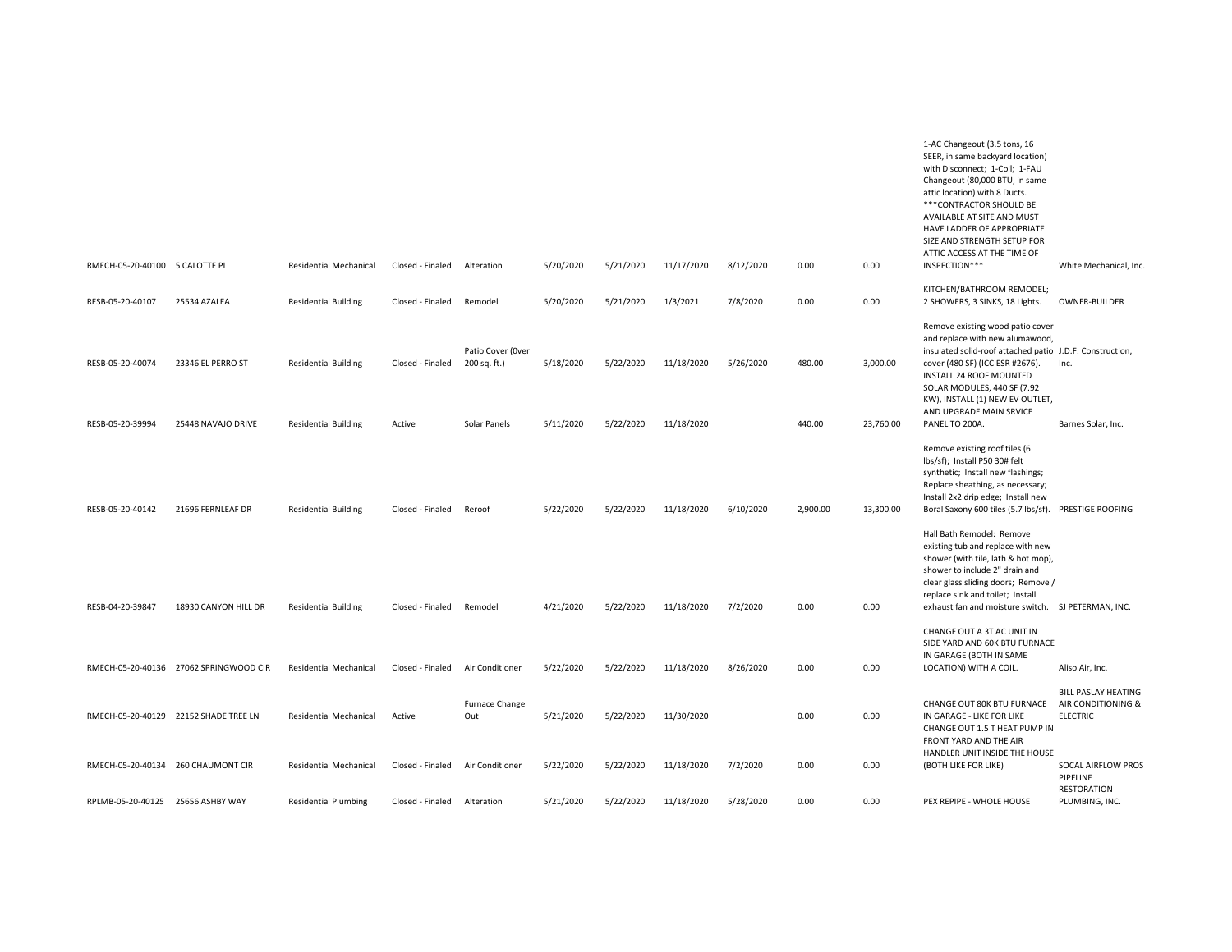| RMECH-05-20-40100 5 CALOTTE PL       |                                         | <b>Residential Mechanical</b>                              | Closed - Finaled           | Alteration                                        | 5/20/2020              | 5/21/2020              | 11/17/2020               | 8/12/2020 | 0.00             | 0.00                  | 1-AC Changeout (3.5 tons, 16<br>SEER, in same backyard location)<br>with Disconnect; 1-Coil; 1-FAU<br>Changeout (80,000 BTU, in same<br>attic location) with 8 Ducts.<br>*** CONTRACTOR SHOULD BE<br>AVAILABLE AT SITE AND MUST<br>HAVE LADDER OF APPROPRIATE<br>SIZE AND STRENGTH SETUP FOR<br>ATTIC ACCESS AT THE TIME OF<br>INSPECTION*** | White Mechanical, Inc.                                              |
|--------------------------------------|-----------------------------------------|------------------------------------------------------------|----------------------------|---------------------------------------------------|------------------------|------------------------|--------------------------|-----------|------------------|-----------------------|----------------------------------------------------------------------------------------------------------------------------------------------------------------------------------------------------------------------------------------------------------------------------------------------------------------------------------------------|---------------------------------------------------------------------|
| RESB-05-20-40107                     | 25534 AZALEA                            | <b>Residential Building</b>                                | Closed - Finaled           | Remodel                                           | 5/20/2020              | 5/21/2020              | 1/3/2021                 | 7/8/2020  | 0.00             | 0.00                  | KITCHEN/BATHROOM REMODEL;<br>2 SHOWERS, 3 SINKS, 18 Lights.                                                                                                                                                                                                                                                                                  | OWNER-BUILDER                                                       |
| RESB-05-20-40074<br>RESB-05-20-39994 | 23346 EL PERRO ST<br>25448 NAVAJO DRIVE | <b>Residential Building</b><br><b>Residential Building</b> | Closed - Finaled<br>Active | Patio Cover (Over<br>200 sq. ft.)<br>Solar Panels | 5/18/2020<br>5/11/2020 | 5/22/2020<br>5/22/2020 | 11/18/2020<br>11/18/2020 | 5/26/2020 | 480.00<br>440.00 | 3,000.00<br>23,760.00 | Remove existing wood patio cover<br>and replace with new alumawood,<br>insulated solid-roof attached patio J.D.F. Construction,<br>cover (480 SF) (ICC ESR #2676).<br><b>INSTALL 24 ROOF MOUNTED</b><br>SOLAR MODULES, 440 SF (7.92<br>KW), INSTALL (1) NEW EV OUTLET,<br>AND UPGRADE MAIN SRVICE<br>PANEL TO 200A.                          | Inc.<br>Barnes Solar, Inc.                                          |
|                                      |                                         |                                                            |                            |                                                   |                        |                        |                          |           |                  |                       | Remove existing roof tiles (6<br>lbs/sf); Install P50 30# felt<br>synthetic; Install new flashings;                                                                                                                                                                                                                                          |                                                                     |
| RESB-05-20-40142                     | 21696 FERNLEAF DR                       | <b>Residential Building</b>                                | Closed - Finaled           | Reroof                                            | 5/22/2020              | 5/22/2020              | 11/18/2020               | 6/10/2020 | 2,900.00         | 13,300.00             | Replace sheathing, as necessary;<br>Install 2x2 drip edge; Install new<br>Boral Saxony 600 tiles (5.7 lbs/sf).                                                                                                                                                                                                                               | PRESTIGE ROOFING                                                    |
| RESB-04-20-39847                     | 18930 CANYON HILL DR                    | <b>Residential Building</b>                                | Closed - Finaled           | Remodel                                           | 4/21/2020              | 5/22/2020              | 11/18/2020               | 7/2/2020  | 0.00             | 0.00                  | Hall Bath Remodel: Remove<br>existing tub and replace with new<br>shower (with tile, lath & hot mop),<br>shower to include 2" drain and<br>clear glass sliding doors; Remove /<br>replace sink and toilet; Install<br>exhaust fan and moisture switch. SJ PETERMAN, INC.                                                                     |                                                                     |
|                                      |                                         |                                                            |                            |                                                   |                        |                        |                          |           |                  |                       | CHANGE OUT A 3T AC UNIT IN<br>SIDE YARD AND 60K BTU FURNACE<br>IN GARAGE (BOTH IN SAME                                                                                                                                                                                                                                                       |                                                                     |
|                                      | RMECH-05-20-40136 27062 SPRINGWOOD CIR  | Residential Mechanical                                     | Closed - Finaled           | Air Conditioner                                   | 5/22/2020              | 5/22/2020              | 11/18/2020               | 8/26/2020 | 0.00             | 0.00                  | LOCATION) WITH A COIL.                                                                                                                                                                                                                                                                                                                       | Aliso Air, Inc.                                                     |
|                                      | RMECH-05-20-40129 22152 SHADE TREE LN   | Residential Mechanical                                     | Active                     | Furnace Change<br>Out                             | 5/21/2020              | 5/22/2020              | 11/30/2020               |           | 0.00             | 0.00                  | CHANGE OUT 80K BTU FURNACE<br>IN GARAGE - LIKE FOR LIKE<br>CHANGE OUT 1.5 T HEAT PUMP IN<br>FRONT YARD AND THE AIR                                                                                                                                                                                                                           | <b>BILL PASLAY HEATING</b><br>AIR CONDITIONING &<br><b>ELECTRIC</b> |
|                                      | RMECH-05-20-40134 260 CHAUMONT CIR      | <b>Residential Mechanical</b>                              | Closed - Finaled           | Air Conditioner                                   | 5/22/2020              | 5/22/2020              | 11/18/2020               | 7/2/2020  | 0.00             | 0.00                  | HANDLER UNIT INSIDE THE HOUSE<br>(BOTH LIKE FOR LIKE)                                                                                                                                                                                                                                                                                        | SOCAL AIRFLOW PROS<br>PIPELINE                                      |
| RPLMB-05-20-40125 25656 ASHBY WAY    |                                         | <b>Residential Plumbing</b>                                | Closed - Finaled           | Alteration                                        | 5/21/2020              | 5/22/2020              | 11/18/2020               | 5/28/2020 | 0.00             | 0.00                  | PEX REPIPE - WHOLE HOUSE                                                                                                                                                                                                                                                                                                                     | <b>RESTORATION</b><br>PLUMBING, INC.                                |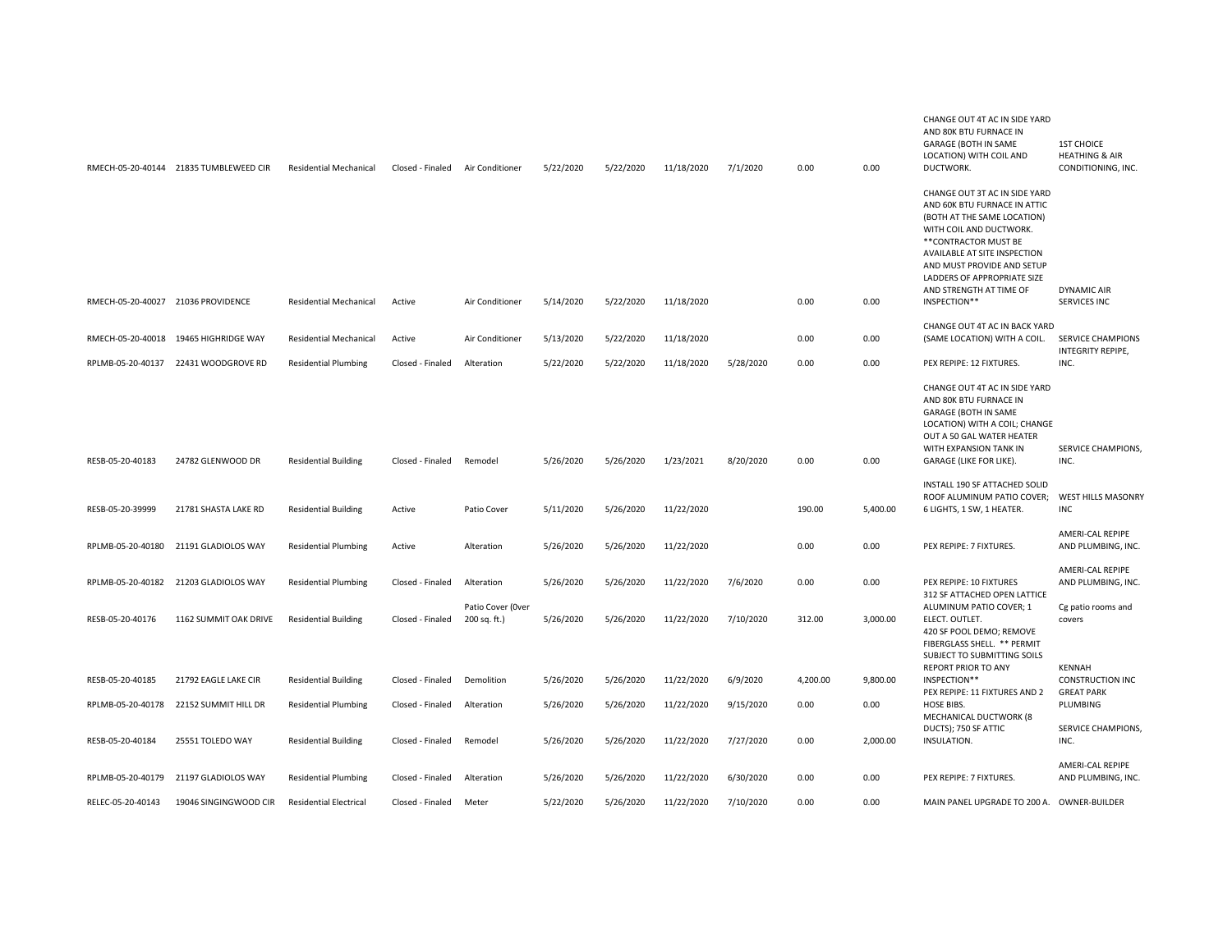|                                    | RMECH-05-20-40144 21835 TUMBLEWEED CIR | <b>Residential Mechanical</b> | Closed - Finaled | Air Conditioner                   | 5/22/2020 | 5/22/2020 | 11/18/2020 | 7/1/2020  | 0.00     | 0.00     | CHANGE OUT 4T AC IN SIDE YARD<br>AND 80K BTU FURNACE IN<br><b>GARAGE (BOTH IN SAME</b><br>LOCATION) WITH COIL AND<br>DUCTWORK.                                                                                                                                                           | <b>1ST CHOICE</b><br><b>HEATHING &amp; AIR</b><br>CONDITIONING, INC. |
|------------------------------------|----------------------------------------|-------------------------------|------------------|-----------------------------------|-----------|-----------|------------|-----------|----------|----------|------------------------------------------------------------------------------------------------------------------------------------------------------------------------------------------------------------------------------------------------------------------------------------------|----------------------------------------------------------------------|
| RMECH-05-20-40027 21036 PROVIDENCE |                                        | <b>Residential Mechanical</b> | Active           | Air Conditioner                   | 5/14/2020 | 5/22/2020 | 11/18/2020 |           | 0.00     | 0.00     | CHANGE OUT 3T AC IN SIDE YARD<br>AND 60K BTU FURNACE IN ATTIC<br>(BOTH AT THE SAME LOCATION)<br>WITH COIL AND DUCTWORK.<br>** CONTRACTOR MUST BE<br>AVAILABLE AT SITE INSPECTION<br>AND MUST PROVIDE AND SETUP<br>LADDERS OF APPROPRIATE SIZE<br>AND STRENGTH AT TIME OF<br>INSPECTION** | <b>DYNAMIC AIR</b><br><b>SERVICES INC</b>                            |
|                                    |                                        |                               |                  |                                   |           |           |            |           |          |          | CHANGE OUT 4T AC IN BACK YARD                                                                                                                                                                                                                                                            |                                                                      |
| RMECH-05-20-40018                  | 19465 HIGHRIDGE WAY                    | <b>Residential Mechanical</b> | Active           | Air Conditioner                   | 5/13/2020 | 5/22/2020 | 11/18/2020 |           | 0.00     | 0.00     | (SAME LOCATION) WITH A COIL.                                                                                                                                                                                                                                                             | <b>SERVICE CHAMPIONS</b><br>INTEGRITY REPIPE,                        |
| RPLMB-05-20-40137                  | 22431 WOODGROVE RD                     | <b>Residential Plumbing</b>   | Closed - Finaled | Alteration                        | 5/22/2020 | 5/22/2020 | 11/18/2020 | 5/28/2020 | 0.00     | 0.00     | PEX REPIPE: 12 FIXTURES.                                                                                                                                                                                                                                                                 | INC.                                                                 |
| RESB-05-20-40183                   | 24782 GLENWOOD DR                      | <b>Residential Building</b>   | Closed - Finaled | Remodel                           | 5/26/2020 | 5/26/2020 | 1/23/2021  | 8/20/2020 | 0.00     | 0.00     | CHANGE OUT 4T AC IN SIDE YARD<br>AND 80K BTU FURNACE IN<br><b>GARAGE (BOTH IN SAME</b><br>LOCATION) WITH A COIL; CHANGE<br>OUT A 50 GAL WATER HEATER<br>WITH EXPANSION TANK IN<br>GARAGE (LIKE FOR LIKE).                                                                                | SERVICE CHAMPIONS,<br>INC.                                           |
| RESB-05-20-39999                   | 21781 SHASTA LAKE RD                   | <b>Residential Building</b>   | Active           | Patio Cover                       | 5/11/2020 | 5/26/2020 | 11/22/2020 |           | 190.00   | 5,400.00 | INSTALL 190 SF ATTACHED SOLID<br>ROOF ALUMINUM PATIO COVER;<br>6 LIGHTS, 1 SW, 1 HEATER.                                                                                                                                                                                                 | WEST HILLS MASONRY<br><b>INC</b>                                     |
| RPLMB-05-20-40180                  | 21191 GLADIOLOS WAY                    | <b>Residential Plumbing</b>   | Active           | Alteration                        | 5/26/2020 | 5/26/2020 | 11/22/2020 |           | 0.00     | 0.00     | PEX REPIPE: 7 FIXTURES.                                                                                                                                                                                                                                                                  | AMERI-CAL REPIPE<br>AND PLUMBING, INC.                               |
| RPLMB-05-20-40182                  | 21203 GLADIOLOS WAY                    | <b>Residential Plumbing</b>   | Closed - Finaled | Alteration                        | 5/26/2020 | 5/26/2020 | 11/22/2020 | 7/6/2020  | 0.00     | 0.00     | PEX REPIPE: 10 FIXTURES<br>312 SF ATTACHED OPEN LATTICE                                                                                                                                                                                                                                  | AMERI-CAL REPIPE<br>AND PLUMBING, INC.                               |
| RESB-05-20-40176                   | 1162 SUMMIT OAK DRIVE                  | <b>Residential Building</b>   | Closed - Finaled | Patio Cover (Over<br>200 sq. ft.) | 5/26/2020 | 5/26/2020 | 11/22/2020 | 7/10/2020 | 312.00   | 3,000.00 | ALUMINUM PATIO COVER; 1<br>ELECT. OUTLET.<br>420 SF POOL DEMO; REMOVE<br>FIBERGLASS SHELL. ** PERMIT<br>SUBJECT TO SUBMITTING SOILS                                                                                                                                                      | Cg patio rooms and<br>covers                                         |
| RESB-05-20-40185                   | 21792 EAGLE LAKE CIR                   | <b>Residential Building</b>   | Closed - Finaled | Demolition                        | 5/26/2020 | 5/26/2020 | 11/22/2020 | 6/9/2020  | 4,200.00 | 9,800.00 | <b>REPORT PRIOR TO ANY</b><br>INSPECTION**                                                                                                                                                                                                                                               | <b>KENNAH</b><br><b>CONSTRUCTION INC</b>                             |
| RPLMB-05-20-40178                  | 22152 SUMMIT HILL DR                   | <b>Residential Plumbing</b>   | Closed - Finaled | Alteration                        | 5/26/2020 | 5/26/2020 | 11/22/2020 | 9/15/2020 | 0.00     | 0.00     | PEX REPIPE: 11 FIXTURES AND 2<br>HOSE BIBS.<br>MECHANICAL DUCTWORK (8                                                                                                                                                                                                                    | <b>GREAT PARK</b><br>PLUMBING                                        |
| RESB-05-20-40184                   | 25551 TOLEDO WAY                       | <b>Residential Building</b>   | Closed - Finaled | Remodel                           | 5/26/2020 | 5/26/2020 | 11/22/2020 | 7/27/2020 | 0.00     | 2,000.00 | DUCTS); 750 SF ATTIC<br>INSULATION.                                                                                                                                                                                                                                                      | SERVICE CHAMPIONS,<br>INC.                                           |
| RPLMB-05-20-40179                  | 21197 GLADIOLOS WAY                    | <b>Residential Plumbing</b>   | Closed - Finaled | Alteration                        | 5/26/2020 | 5/26/2020 | 11/22/2020 | 6/30/2020 | 0.00     | 0.00     | PEX REPIPE: 7 FIXTURES.                                                                                                                                                                                                                                                                  | AMERI-CAL REPIPE<br>AND PLUMBING, INC.                               |
| RELEC-05-20-40143                  | 19046 SINGINGWOOD CIR                  | <b>Residential Electrical</b> | Closed - Finaled | Meter                             | 5/22/2020 | 5/26/2020 | 11/22/2020 | 7/10/2020 | 0.00     | 0.00     | MAIN PANEL UPGRADE TO 200 A. OWNER-BUILDER                                                                                                                                                                                                                                               |                                                                      |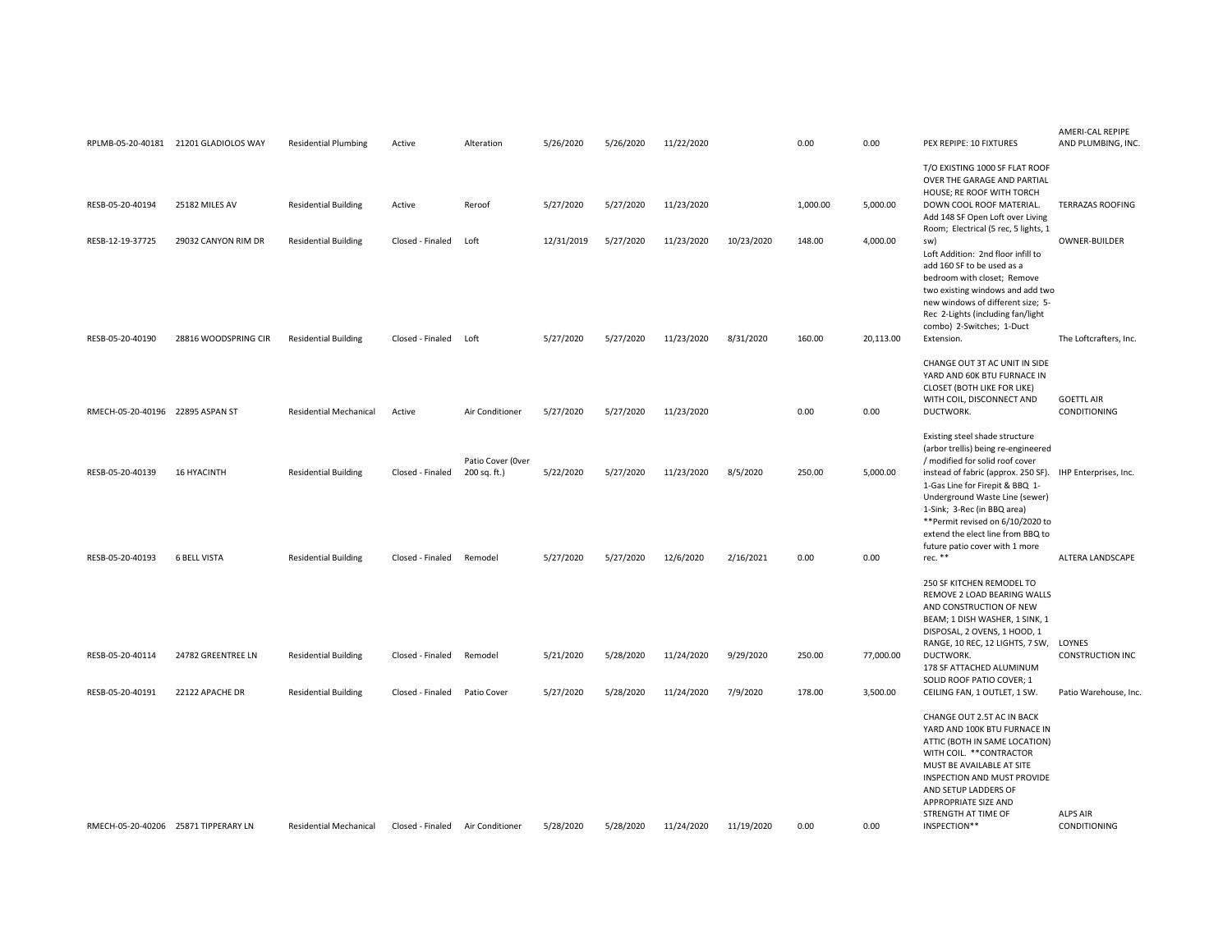|                                      | RPLMB-05-20-40181 21201 GLADIOLOS WAY | <b>Residential Plumbing</b>   | Active           | Alteration                        | 5/26/2020  | 5/26/2020 | 11/22/2020 |            | 0.00     | 0.00      | PEX REPIPE: 10 FIXTURES                                                                                                                                                                                                                                                                                     | AMERI-CAL REPIPE<br>AND PLUMBING, INC.   |
|--------------------------------------|---------------------------------------|-------------------------------|------------------|-----------------------------------|------------|-----------|------------|------------|----------|-----------|-------------------------------------------------------------------------------------------------------------------------------------------------------------------------------------------------------------------------------------------------------------------------------------------------------------|------------------------------------------|
| RESB-05-20-40194                     | 25182 MILES AV                        | <b>Residential Building</b>   | Active           | Reroof                            | 5/27/2020  | 5/27/2020 | 11/23/2020 |            | 1,000.00 | 5,000.00  | T/O EXISTING 1000 SF FLAT ROOF<br>OVER THE GARAGE AND PARTIAL<br>HOUSE; RE ROOF WITH TORCH<br>DOWN COOL ROOF MATERIAL.<br>Add 148 SF Open Loft over Living                                                                                                                                                  | <b>TERRAZAS ROOFING</b>                  |
| RESB-12-19-37725                     | 29032 CANYON RIM DR                   | <b>Residential Building</b>   | Closed - Finaled | Loft                              | 12/31/2019 | 5/27/2020 | 11/23/2020 | 10/23/2020 | 148.00   | 4,000.00  | Room; Electrical (5 rec, 5 lights, 1<br>sw)<br>Loft Addition: 2nd floor infill to<br>add 160 SF to be used as a<br>bedroom with closet; Remove<br>two existing windows and add two<br>new windows of different size; 5-<br>Rec 2-Lights (including fan/light<br>combo) 2-Switches; 1-Duct                   | OWNER-BUILDER                            |
| RESB-05-20-40190                     | 28816 WOODSPRING CIR                  | <b>Residential Building</b>   | Closed - Finaled | Loft                              | 5/27/2020  | 5/27/2020 | 11/23/2020 | 8/31/2020  | 160.00   | 20,113.00 | Extension.                                                                                                                                                                                                                                                                                                  | The Loftcrafters, Inc.                   |
| RMECH-05-20-40196 22895 ASPAN ST     |                                       | <b>Residential Mechanical</b> | Active           | Air Conditioner                   | 5/27/2020  | 5/27/2020 | 11/23/2020 |            | 0.00     | 0.00      | CHANGE OUT 3T AC UNIT IN SIDE<br>YARD AND 60K BTU FURNACE IN<br>CLOSET (BOTH LIKE FOR LIKE)<br>WITH COIL, DISCONNECT AND<br>DUCTWORK.                                                                                                                                                                       | <b>GOETTL AIR</b><br><b>CONDITIONING</b> |
|                                      |                                       |                               |                  |                                   |            |           |            |            |          |           | Existing steel shade structure<br>(arbor trellis) being re-engineered                                                                                                                                                                                                                                       |                                          |
| RESB-05-20-40139                     | <b>16 HYACINTH</b>                    | <b>Residential Building</b>   | Closed - Finaled | Patio Cover (Over<br>200 sq. ft.) | 5/22/2020  | 5/27/2020 | 11/23/2020 | 8/5/2020   | 250.00   | 5,000.00  | / modified for solid roof cover<br>instead of fabric (approx. 250 SF). IHP Enterprises, Inc.<br>1-Gas Line for Firepit & BBQ 1-<br>Underground Waste Line (sewer)<br>1-Sink; 3-Rec (in BBQ area)<br>**Permit revised on 6/10/2020 to<br>extend the elect line from BBQ to<br>future patio cover with 1 more |                                          |
| RESB-05-20-40193                     | <b>6 BELL VISTA</b>                   | <b>Residential Building</b>   | Closed - Finaled | Remodel                           | 5/27/2020  | 5/27/2020 | 12/6/2020  | 2/16/2021  | 0.00     | 0.00      | rec. **                                                                                                                                                                                                                                                                                                     | ALTERA LANDSCAPE                         |
| RESB-05-20-40114                     | 24782 GREENTREE LN                    | <b>Residential Building</b>   | Closed - Finaled | Remodel                           | 5/21/2020  | 5/28/2020 | 11/24/2020 | 9/29/2020  | 250.00   | 77,000.00 | 250 SF KITCHEN REMODEL TO<br>REMOVE 2 LOAD BEARING WALLS<br>AND CONSTRUCTION OF NEW<br>BEAM; 1 DISH WASHER, 1 SINK, 1<br>DISPOSAL, 2 OVENS, 1 HOOD, 1<br>RANGE, 10 REC, 12 LIGHTS, 7 SW,<br>DUCTWORK.                                                                                                       | LOYNES<br><b>CONSTRUCTION INC</b>        |
|                                      |                                       |                               |                  |                                   |            |           |            |            |          |           | 178 SF ATTACHED ALUMINUM<br>SOLID ROOF PATIO COVER; 1                                                                                                                                                                                                                                                       |                                          |
| RESB-05-20-40191                     | 22122 APACHE DR                       | <b>Residential Building</b>   | Closed - Finaled | Patio Cover                       | 5/27/2020  | 5/28/2020 | 11/24/2020 | 7/9/2020   | 178.00   | 3,500.00  | CEILING FAN, 1 OUTLET, 1 SW.                                                                                                                                                                                                                                                                                | Patio Warehouse, Inc.                    |
|                                      |                                       |                               |                  |                                   |            |           |            |            |          |           | CHANGE OUT 2.5T AC IN BACK<br>YARD AND 100K BTU FURNACE IN<br>ATTIC (BOTH IN SAME LOCATION)<br>WITH COIL. ** CONTRACTOR<br>MUST BE AVAILABLE AT SITE<br>INSPECTION AND MUST PROVIDE<br>AND SETUP LADDERS OF<br>APPROPRIATE SIZE AND<br>STRENGTH AT TIME OF                                                  | <b>ALPS AIR</b>                          |
| RMECH-05-20-40206 25871 TIPPERARY LN |                                       | <b>Residential Mechanical</b> | Closed - Finaled | Air Conditioner                   | 5/28/2020  | 5/28/2020 | 11/24/2020 | 11/19/2020 | 0.00     | 0.00      | INSPECTION**                                                                                                                                                                                                                                                                                                | <b>CONDITIONING</b>                      |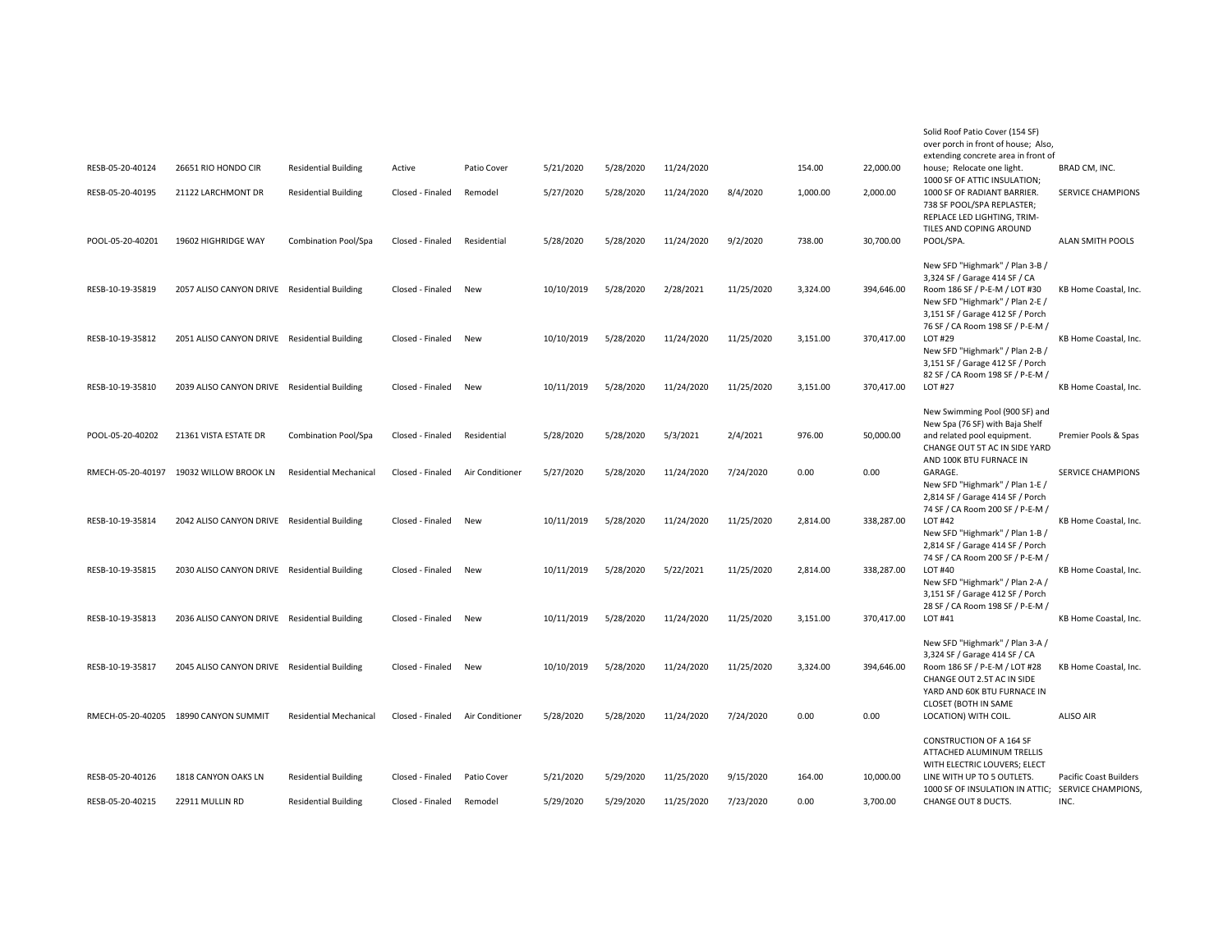|                   |                                              |                               |                  |                 |            |           |            |            |          |            | Solid Roof Patio Cover (154 SF)<br>over porch in front of house; Also, |                               |
|-------------------|----------------------------------------------|-------------------------------|------------------|-----------------|------------|-----------|------------|------------|----------|------------|------------------------------------------------------------------------|-------------------------------|
|                   |                                              |                               |                  |                 |            |           |            |            |          |            | extending concrete area in front of                                    |                               |
| RESB-05-20-40124  | 26651 RIO HONDO CIR                          | <b>Residential Building</b>   | Active           | Patio Cover     | 5/21/2020  | 5/28/2020 | 11/24/2020 |            | 154.00   | 22,000.00  | house; Relocate one light.<br>1000 SF OF ATTIC INSULATION;             | BRAD CM, INC.                 |
| RESB-05-20-40195  | 21122 LARCHMONT DR                           | <b>Residential Building</b>   | Closed - Finaled | Remodel         | 5/27/2020  | 5/28/2020 | 11/24/2020 | 8/4/2020   | 1,000.00 | 2,000.00   | 1000 SF OF RADIANT BARRIER.                                            | <b>SERVICE CHAMPIONS</b>      |
|                   |                                              |                               |                  |                 |            |           |            |            |          |            | 738 SF POOL/SPA REPLASTER;                                             |                               |
|                   |                                              |                               |                  |                 |            |           |            |            |          |            | REPLACE LED LIGHTING, TRIM-                                            |                               |
|                   |                                              |                               |                  |                 |            |           |            |            |          |            | TILES AND COPING AROUND                                                |                               |
| POOL-05-20-40201  | 19602 HIGHRIDGE WAY                          | Combination Pool/Spa          | Closed - Finaled | Residential     | 5/28/2020  | 5/28/2020 | 11/24/2020 | 9/2/2020   | 738.00   | 30,700.00  | POOL/SPA.                                                              | ALAN SMITH POOLS              |
|                   |                                              |                               |                  |                 |            |           |            |            |          |            |                                                                        |                               |
|                   |                                              |                               |                  |                 |            |           |            |            |          |            | New SFD "Highmark" / Plan 3-B /                                        |                               |
| RESB-10-19-35819  |                                              |                               | Closed - Finaled | New             | 10/10/2019 | 5/28/2020 | 2/28/2021  | 11/25/2020 | 3,324.00 | 394,646.00 | 3,324 SF / Garage 414 SF / CA<br>Room 186 SF / P-E-M / LOT #30         |                               |
|                   | 2057 ALISO CANYON DRIVE Residential Building |                               |                  |                 |            |           |            |            |          |            | New SFD "Highmark" / Plan 2-E /                                        | KB Home Coastal, Inc.         |
|                   |                                              |                               |                  |                 |            |           |            |            |          |            | 3,151 SF / Garage 412 SF / Porch                                       |                               |
|                   |                                              |                               |                  |                 |            |           |            |            |          |            | 76 SF / CA Room 198 SF / P-E-M /                                       |                               |
| RESB-10-19-35812  | 2051 ALISO CANYON DRIVE Residential Building |                               | Closed - Finaled | New             | 10/10/2019 | 5/28/2020 | 11/24/2020 | 11/25/2020 | 3,151.00 | 370,417.00 | LOT #29                                                                | KB Home Coastal, Inc.         |
|                   |                                              |                               |                  |                 |            |           |            |            |          |            | New SFD "Highmark" / Plan 2-B /                                        |                               |
|                   |                                              |                               |                  |                 |            |           |            |            |          |            | 3,151 SF / Garage 412 SF / Porch                                       |                               |
|                   |                                              |                               |                  |                 |            |           |            |            |          |            | 82 SF / CA Room 198 SF / P-E-M /                                       |                               |
| RESB-10-19-35810  | 2039 ALISO CANYON DRIVE Residential Building |                               | Closed - Finaled | New             | 10/11/2019 | 5/28/2020 | 11/24/2020 | 11/25/2020 | 3,151.00 | 370,417.00 | LOT #27                                                                | KB Home Coastal, Inc.         |
|                   |                                              |                               |                  |                 |            |           |            |            |          |            |                                                                        |                               |
|                   |                                              |                               |                  |                 |            |           |            |            |          |            | New Swimming Pool (900 SF) and                                         |                               |
| POOL-05-20-40202  | 21361 VISTA ESTATE DR                        | Combination Pool/Spa          | Closed - Finaled | Residential     | 5/28/2020  | 5/28/2020 | 5/3/2021   | 2/4/2021   | 976.00   | 50,000.00  | New Spa (76 SF) with Baja Shelf<br>and related pool equipment.         | Premier Pools & Spas          |
|                   |                                              |                               |                  |                 |            |           |            |            |          |            | CHANGE OUT 5T AC IN SIDE YARD                                          |                               |
|                   |                                              |                               |                  |                 |            |           |            |            |          |            | AND 100K BTU FURNACE IN                                                |                               |
| RMECH-05-20-40197 | 19032 WILLOW BROOK LN                        | <b>Residential Mechanical</b> | Closed - Finaled | Air Conditioner | 5/27/2020  | 5/28/2020 | 11/24/2020 | 7/24/2020  | 0.00     | 0.00       | GARAGE.                                                                | <b>SERVICE CHAMPIONS</b>      |
|                   |                                              |                               |                  |                 |            |           |            |            |          |            | New SFD "Highmark" / Plan 1-E /                                        |                               |
|                   |                                              |                               |                  |                 |            |           |            |            |          |            | 2,814 SF / Garage 414 SF / Porch                                       |                               |
|                   |                                              |                               |                  |                 |            |           |            |            |          |            | 74 SF / CA Room 200 SF / P-E-M /                                       |                               |
| RESB-10-19-35814  | 2042 ALISO CANYON DRIVE Residential Building |                               | Closed - Finaled | New             | 10/11/2019 | 5/28/2020 | 11/24/2020 | 11/25/2020 | 2,814.00 | 338,287.00 | LOT #42                                                                | KB Home Coastal, Inc.         |
|                   |                                              |                               |                  |                 |            |           |            |            |          |            | New SFD "Highmark" / Plan 1-B /                                        |                               |
|                   |                                              |                               |                  |                 |            |           |            |            |          |            | 2,814 SF / Garage 414 SF / Porch                                       |                               |
| RESB-10-19-35815  | 2030 ALISO CANYON DRIVE Residential Building |                               | Closed - Finaled | New             | 10/11/2019 | 5/28/2020 | 5/22/2021  | 11/25/2020 | 2,814.00 | 338,287.00 | 74 SF / CA Room 200 SF / P-E-M /<br><b>LOT #40</b>                     | KB Home Coastal, Inc.         |
|                   |                                              |                               |                  |                 |            |           |            |            |          |            | New SFD "Highmark" / Plan 2-A /                                        |                               |
|                   |                                              |                               |                  |                 |            |           |            |            |          |            | 3,151 SF / Garage 412 SF / Porch                                       |                               |
|                   |                                              |                               |                  |                 |            |           |            |            |          |            | 28 SF / CA Room 198 SF / P-E-M /                                       |                               |
| RESB-10-19-35813  | 2036 ALISO CANYON DRIVE Residential Building |                               | Closed - Finaled | New             | 10/11/2019 | 5/28/2020 | 11/24/2020 | 11/25/2020 | 3,151.00 | 370,417.00 | LOT #41                                                                | KB Home Coastal, Inc.         |
|                   |                                              |                               |                  |                 |            |           |            |            |          |            |                                                                        |                               |
|                   |                                              |                               |                  |                 |            |           |            |            |          |            | New SFD "Highmark" / Plan 3-A /                                        |                               |
|                   |                                              |                               |                  |                 |            |           |            |            |          |            | 3,324 SF / Garage 414 SF / CA                                          |                               |
| RESB-10-19-35817  | 2045 ALISO CANYON DRIVE Residential Building |                               | Closed - Finaled | New             | 10/10/2019 | 5/28/2020 | 11/24/2020 | 11/25/2020 | 3,324.00 | 394,646.00 | Room 186 SF / P-E-M / LOT #28                                          | KB Home Coastal, Inc.         |
|                   |                                              |                               |                  |                 |            |           |            |            |          |            | CHANGE OUT 2.5T AC IN SIDE                                             |                               |
|                   |                                              |                               |                  |                 |            |           |            |            |          |            | YARD AND 60K BTU FURNACE IN                                            |                               |
| RMECH-05-20-40205 | 18990 CANYON SUMMIT                          | <b>Residential Mechanical</b> | Closed - Finaled | Air Conditioner | 5/28/2020  | 5/28/2020 | 11/24/2020 | 7/24/2020  | 0.00     | 0.00       | CLOSET (BOTH IN SAME<br>LOCATION) WITH COIL.                           | <b>ALISO AIR</b>              |
|                   |                                              |                               |                  |                 |            |           |            |            |          |            |                                                                        |                               |
|                   |                                              |                               |                  |                 |            |           |            |            |          |            | CONSTRUCTION OF A 164 SF                                               |                               |
|                   |                                              |                               |                  |                 |            |           |            |            |          |            | ATTACHED ALUMINUM TRELLIS                                              |                               |
|                   |                                              |                               |                  |                 |            |           |            |            |          |            | WITH ELECTRIC LOUVERS; ELECT                                           |                               |
| RESB-05-20-40126  | 1818 CANYON OAKS LN                          | <b>Residential Building</b>   | Closed - Finaled | Patio Cover     | 5/21/2020  | 5/29/2020 | 11/25/2020 | 9/15/2020  | 164.00   | 10,000.00  | LINE WITH UP TO 5 OUTLETS.                                             | <b>Pacific Coast Builders</b> |
|                   |                                              |                               |                  |                 |            |           |            |            |          |            | 1000 SF OF INSULATION IN ATTIC;                                        | SERVICE CHAMPIONS,            |
| RESB-05-20-40215  | 22911 MULLIN RD                              | <b>Residential Building</b>   | Closed - Finaled | Remodel         | 5/29/2020  | 5/29/2020 | 11/25/2020 | 7/23/2020  | 0.00     | 3,700.00   | CHANGE OUT 8 DUCTS.                                                    | INC.                          |